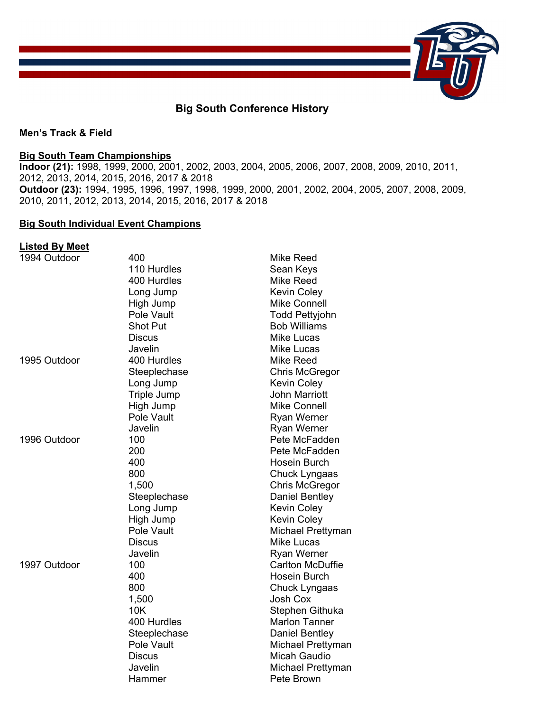

## **Big South Conference History**

#### **Men's Track & Field**

### **Big South Team Championships**

**Indoor (21):** 1998, 1999, 2000, 2001, 2002, 2003, 2004, 2005, 2006, 2007, 2008, 2009, 2010, 2011, 2012, 2013, 2014, 2015, 2016, 2017 & 2018 **Outdoor (23):** 1994, 1995, 1996, 1997, 1998, 1999, 2000, 2001, 2002, 2004, 2005, 2007, 2008, 2009, 2010, 2011, 2012, 2013, 2014, 2015, 2016, 2017 & 2018

#### **Big South Individual Event Champions**

#### **Listed By Meet**

| 1994 Outdoor | 400                | Mike Reed               |
|--------------|--------------------|-------------------------|
|              | 110 Hurdles        | Sean Keys               |
|              | 400 Hurdles        | Mike Reed               |
|              | Long Jump          | <b>Kevin Coley</b>      |
|              | High Jump          | <b>Mike Connell</b>     |
|              | Pole Vault         | <b>Todd Pettyjohn</b>   |
|              | <b>Shot Put</b>    | <b>Bob Williams</b>     |
|              | <b>Discus</b>      | <b>Mike Lucas</b>       |
|              | Javelin            | <b>Mike Lucas</b>       |
| 1995 Outdoor | 400 Hurdles        | Mike Reed               |
|              | Steeplechase       | Chris McGregor          |
|              | Long Jump          | <b>Kevin Coley</b>      |
|              | <b>Triple Jump</b> | <b>John Marriott</b>    |
|              | High Jump          | <b>Mike Connell</b>     |
|              | Pole Vault         | <b>Ryan Werner</b>      |
|              | Javelin            | Ryan Werner             |
| 1996 Outdoor | 100                | Pete McFadden           |
|              | 200                | Pete McFadden           |
|              | 400                | Hosein Burch            |
|              | 800                | Chuck Lyngaas           |
|              | 1,500              | <b>Chris McGregor</b>   |
|              | Steeplechase       | <b>Daniel Bentley</b>   |
|              | Long Jump          | <b>Kevin Coley</b>      |
|              | High Jump          | <b>Kevin Coley</b>      |
|              | Pole Vault         | Michael Prettyman       |
|              | <b>Discus</b>      | <b>Mike Lucas</b>       |
|              | Javelin            | <b>Ryan Werner</b>      |
| 1997 Outdoor | 100                | <b>Carlton McDuffie</b> |
|              | 400                | Hosein Burch            |
|              | 800                | Chuck Lyngaas           |
|              | 1,500              | <b>Josh Cox</b>         |
|              | 10K                | Stephen Githuka         |
|              | 400 Hurdles        | <b>Marlon Tanner</b>    |
|              | Steeplechase       | Daniel Bentley          |
|              | Pole Vault         | Michael Prettyman       |
|              | <b>Discus</b>      | Micah Gaudio            |
|              | Javelin            | Michael Prettyman       |
|              | Hammer             | Pete Brown              |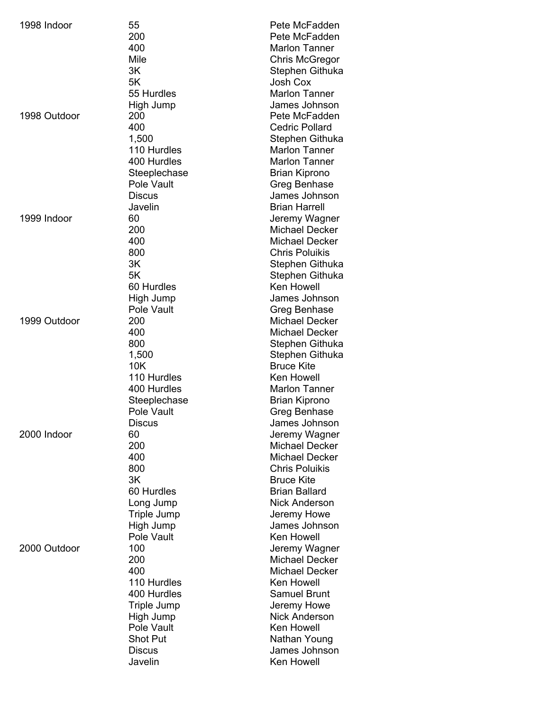| 1998 Indoor  | 55<br>200<br>400<br>Mile<br>3K<br>5K<br>55 Hurdles                                                                          | Pete McFadden<br>Pete McFadden<br><b>Marlon Tanner</b><br><b>Chris McGregor</b><br>Stephen Githuka<br>Josh Cox<br><b>Marlon Tanner</b>                                                                              |
|--------------|-----------------------------------------------------------------------------------------------------------------------------|---------------------------------------------------------------------------------------------------------------------------------------------------------------------------------------------------------------------|
| 1998 Outdoor | High Jump<br>200<br>400<br>1,500<br>110 Hurdles<br>400 Hurdles<br>Steeplechase<br>Pole Vault                                | James Johnson<br>Pete McFadden<br><b>Cedric Pollard</b><br>Stephen Githuka<br><b>Marlon Tanner</b><br><b>Marlon Tanner</b><br>Brian Kiprono<br>Greg Benhase                                                         |
| 1999 Indoor  | <b>Discus</b><br>Javelin<br>60<br>200<br>400<br>800<br>3K<br>5K                                                             | James Johnson<br><b>Brian Harrell</b><br>Jeremy Wagner<br><b>Michael Decker</b><br><b>Michael Decker</b><br><b>Chris Poluikis</b><br>Stephen Githuka<br>Stephen Githuka                                             |
| 1999 Outdoor | 60 Hurdles<br>High Jump<br>Pole Vault<br>200<br>400<br>800<br>1,500<br>10K                                                  | <b>Ken Howell</b><br>James Johnson<br>Greg Benhase<br><b>Michael Decker</b><br><b>Michael Decker</b><br>Stephen Githuka<br>Stephen Githuka<br><b>Bruce Kite</b>                                                     |
| 2000 Indoor  | 110 Hurdles<br>400 Hurdles<br>Steeplechase<br>Pole Vault<br>Discus<br>60<br>200<br>400<br>800<br>3K                         | <b>Ken Howell</b><br><b>Marlon Tanner</b><br><b>Brian Kiprono</b><br>Greg Benhase<br>James Johnson<br>Jeremy Wagner<br><b>Michael Decker</b><br><b>Michael Decker</b><br><b>Chris Poluikis</b><br><b>Bruce Kite</b> |
| 2000 Outdoor | 60 Hurdles<br>Long Jump<br><b>Triple Jump</b><br>High Jump<br>Pole Vault<br>100<br>200<br>400<br>110 Hurdles<br>400 Hurdles | <b>Brian Ballard</b><br><b>Nick Anderson</b><br>Jeremy Howe<br>James Johnson<br><b>Ken Howell</b><br>Jeremy Wagner<br><b>Michael Decker</b><br><b>Michael Decker</b><br><b>Ken Howell</b><br><b>Samuel Brunt</b>    |
|              | <b>Triple Jump</b><br>High Jump<br>Pole Vault<br><b>Shot Put</b><br><b>Discus</b><br>Javelin                                | Jeremy Howe<br><b>Nick Anderson</b><br>Ken Howell<br>Nathan Young<br>James Johnson<br>Ken Howell                                                                                                                    |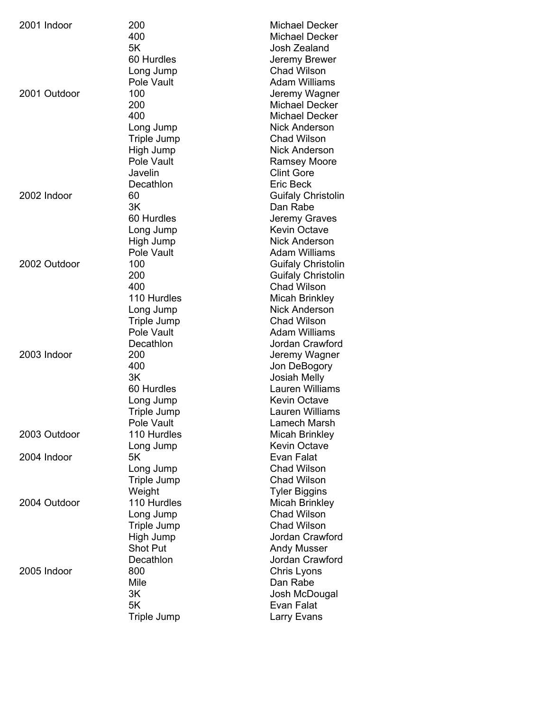| 2001 Indoor  | 200             | <b>Michael Decker</b>     |
|--------------|-----------------|---------------------------|
|              | 400             | <b>Michael Decker</b>     |
|              | 5K              | Josh Zealand              |
|              | 60 Hurdles      | Jeremy Brewer             |
|              | Long Jump       | <b>Chad Wilson</b>        |
|              | Pole Vault      | <b>Adam Williams</b>      |
| 2001 Outdoor | 100             | Jeremy Wagner             |
|              | 200             | <b>Michael Decker</b>     |
|              | 400             | <b>Michael Decker</b>     |
|              | Long Jump       | <b>Nick Anderson</b>      |
|              | Triple Jump     | <b>Chad Wilson</b>        |
|              | High Jump       | <b>Nick Anderson</b>      |
|              | Pole Vault      | <b>Ramsey Moore</b>       |
|              | Javelin         | <b>Clint Gore</b>         |
|              | Decathlon       | <b>Eric Beck</b>          |
| 2002 Indoor  | 60              | <b>Guifaly Christolin</b> |
|              | 3K              | Dan Rabe                  |
|              | 60 Hurdles      | Jeremy Graves             |
|              | Long Jump       | <b>Kevin Octave</b>       |
|              | High Jump       | <b>Nick Anderson</b>      |
|              | Pole Vault      | <b>Adam Williams</b>      |
| 2002 Outdoor | 100             | <b>Guifaly Christolin</b> |
|              | 200             | <b>Guifaly Christolin</b> |
|              | 400             | <b>Chad Wilson</b>        |
|              | 110 Hurdles     | Micah Brinkley            |
|              | Long Jump       | <b>Nick Anderson</b>      |
|              | Triple Jump     | <b>Chad Wilson</b>        |
|              | Pole Vault      | <b>Adam Williams</b>      |
|              | Decathlon       | Jordan Crawford           |
| 2003 Indoor  | 200             | Jeremy Wagner             |
|              | 400             | Jon DeBogory              |
|              | 3K              | <b>Josiah Melly</b>       |
|              | 60 Hurdles      | Lauren Williams           |
|              | Long Jump       | <b>Kevin Octave</b>       |
|              | Triple Jump     | Lauren Williams           |
|              | Pole Vault      | Lamech Marsh              |
| 2003 Outdoor | 110 Hurdles     | Micah Brinkley            |
|              | Long Jump       | <b>Kevin Octave</b>       |
| 2004 Indoor  | 5K              | Evan Falat                |
|              | Long Jump       | <b>Chad Wilson</b>        |
|              | Triple Jump     | <b>Chad Wilson</b>        |
|              | Weight          | <b>Tyler Biggins</b>      |
| 2004 Outdoor | 110 Hurdles     | Micah Brinkley            |
|              | Long Jump       | <b>Chad Wilson</b>        |
|              | Triple Jump     | <b>Chad Wilson</b>        |
|              | High Jump       | Jordan Crawford           |
|              | <b>Shot Put</b> | <b>Andy Musser</b>        |
|              | Decathlon       | Jordan Crawford           |
| 2005 Indoor  | 800             | Chris Lyons               |
|              | Mile            | Dan Rabe                  |
|              | 3K              | Josh McDougal             |
|              | 5K              | Evan Falat                |
|              | Triple Jump     | Larry Evans               |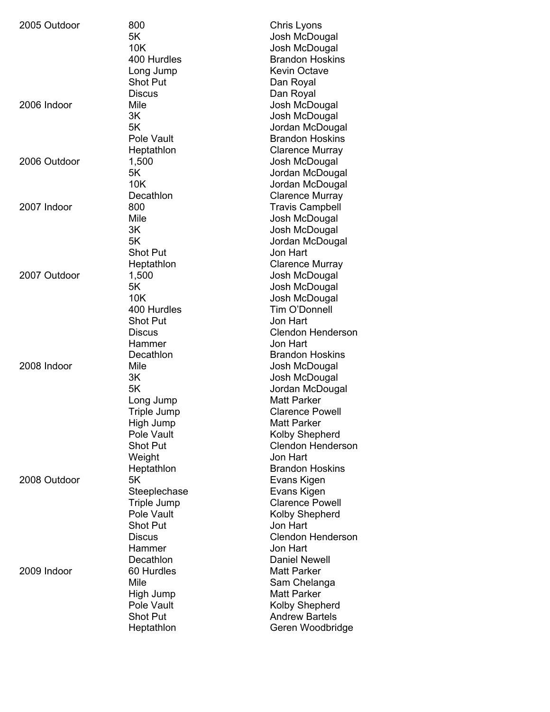| 2005 Outdoor | 800                | Chris Lyons                           |
|--------------|--------------------|---------------------------------------|
|              | 5K                 | Josh McDougal                         |
|              | 10K                | Josh McDougal                         |
|              | 400 Hurdles        | <b>Brandon Hoskins</b>                |
|              | Long Jump          | <b>Kevin Octave</b>                   |
|              | <b>Shot Put</b>    | Dan Royal                             |
|              | <b>Discus</b>      | Dan Royal                             |
| 2006 Indoor  | Mile               | Josh McDougal                         |
|              | 3K                 | Josh McDougal                         |
|              | 5K                 | Jordan McDougal                       |
|              | Pole Vault         | <b>Brandon Hoskins</b>                |
|              | Heptathlon         | <b>Clarence Murray</b>                |
| 2006 Outdoor | 1,500              | Josh McDougal                         |
|              | 5K                 | Jordan McDougal                       |
|              | 10K                | Jordan McDougal                       |
|              | Decathlon          | <b>Clarence Murray</b>                |
| 2007 Indoor  | 800                | <b>Travis Campbell</b>                |
|              | Mile               | Josh McDougal                         |
|              | 3K                 | Josh McDougal                         |
|              | 5K                 | Jordan McDougal                       |
|              | <b>Shot Put</b>    | Jon Hart                              |
|              | Heptathlon         | <b>Clarence Murray</b>                |
| 2007 Outdoor | 1,500              | Josh McDougal                         |
|              | 5K                 | Josh McDougal                         |
|              | 10K                | Josh McDougal                         |
|              | 400 Hurdles        | Tim O'Donnell                         |
|              | <b>Shot Put</b>    | Jon Hart                              |
|              | Discus             | <b>Clendon Henderson</b>              |
|              | Hammer             | Jon Hart                              |
|              | Decathlon          | <b>Brandon Hoskins</b>                |
| 2008 Indoor  | Mile               |                                       |
|              | 3K                 | Josh McDougal                         |
|              | 5K                 | Josh McDougal                         |
|              |                    | Jordan McDougal<br><b>Matt Parker</b> |
|              | Long Jump          |                                       |
|              | Triple Jump        | <b>Clarence Powell</b>                |
|              | High Jump          | <b>Matt Parker</b>                    |
|              | Pole Vault         | Kolby Shepherd                        |
|              | <b>Shot Put</b>    | <b>Clendon Henderson</b>              |
|              | Weight             | Jon Hart                              |
|              | Heptathlon         | <b>Brandon Hoskins</b>                |
| 2008 Outdoor | 5K                 | Evans Kigen                           |
|              | Steeplechase       | Evans Kigen                           |
|              | <b>Triple Jump</b> | <b>Clarence Powell</b>                |
|              | Pole Vault         | Kolby Shepherd                        |
|              | <b>Shot Put</b>    | Jon Hart                              |
|              | <b>Discus</b>      | <b>Clendon Henderson</b>              |
|              | Hammer             | Jon Hart                              |
|              | Decathlon          | <b>Daniel Newell</b>                  |
| 2009 Indoor  | 60 Hurdles         | <b>Matt Parker</b>                    |
|              | Mile               | Sam Chelanga                          |
|              | High Jump          | <b>Matt Parker</b>                    |
|              | Pole Vault         | Kolby Shepherd                        |
|              | <b>Shot Put</b>    | <b>Andrew Bartels</b>                 |
|              | Heptathlon         | Geren Woodbridge                      |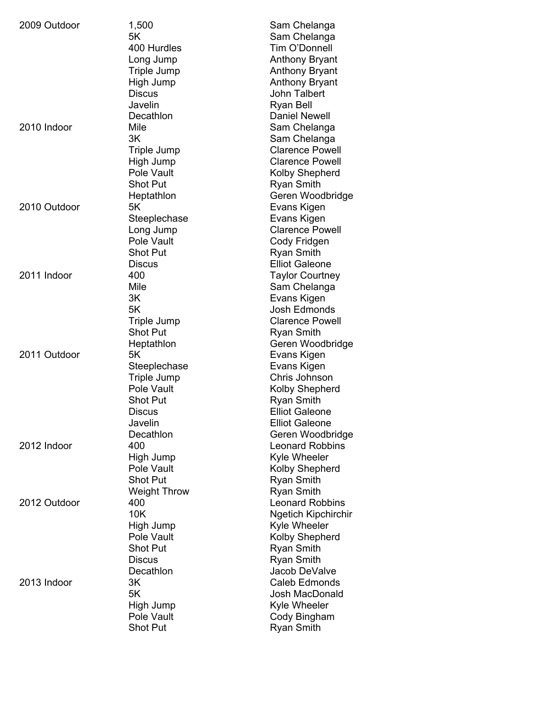| 2009 Outdoor | 1,500               | Sam Chelanga               |
|--------------|---------------------|----------------------------|
|              | 5K                  | Sam Chelanga               |
|              | 400 Hurdles         | Tim O'Donnell              |
|              | Long Jump           | <b>Anthony Bryant</b>      |
|              | Triple Jump         | <b>Anthony Bryant</b>      |
|              | High Jump           | <b>Anthony Bryant</b>      |
|              | <b>Discus</b>       | <b>John Talbert</b>        |
|              | Javelin             | <b>Ryan Bell</b>           |
|              | Decathlon           | <b>Daniel Newell</b>       |
| 2010 Indoor  | Mile                | Sam Chelanga               |
|              | 3K                  | Sam Chelanga               |
|              | <b>Triple Jump</b>  | <b>Clarence Powell</b>     |
|              | High Jump           | <b>Clarence Powell</b>     |
|              | Pole Vault          | Kolby Shepherd             |
|              | <b>Shot Put</b>     |                            |
|              |                     | <b>Ryan Smith</b>          |
|              | Heptathlon          | Geren Woodbridge           |
| 2010 Outdoor | 5K                  | Evans Kigen                |
|              | Steeplechase        | Evans Kigen                |
|              | Long Jump           | <b>Clarence Powell</b>     |
|              | Pole Vault          | Cody Fridgen               |
|              | <b>Shot Put</b>     | <b>Ryan Smith</b>          |
|              | <b>Discus</b>       | <b>Elliot Galeone</b>      |
| 2011 Indoor  | 400                 | <b>Taylor Courtney</b>     |
|              | Mile                | Sam Chelanga               |
|              | 3K                  | Evans Kigen                |
|              | 5K                  | Josh Edmonds               |
|              | Triple Jump         | <b>Clarence Powell</b>     |
|              | <b>Shot Put</b>     | <b>Ryan Smith</b>          |
|              | Heptathlon          | Geren Woodbridge           |
| 2011 Outdoor | 5K                  | Evans Kigen                |
|              | Steeplechase        | Evans Kigen                |
|              | Triple Jump         | Chris Johnson              |
|              | Pole Vault          | Kolby Shepherd             |
|              | <b>Shot Put</b>     | <b>Ryan Smith</b>          |
|              | <b>Discus</b>       | <b>Elliot Galeone</b>      |
|              | Javelin             | <b>Elliot Galeone</b>      |
|              | Decathlon           | Geren Woodbridge           |
| 2012 Indoor  | 400                 | <b>Leonard Robbins</b>     |
|              | High Jump           | Kyle Wheeler               |
|              | Pole Vault          | <b>Kolby Shepherd</b>      |
|              | <b>Shot Put</b>     | <b>Ryan Smith</b>          |
|              | <b>Weight Throw</b> | <b>Ryan Smith</b>          |
| 2012 Outdoor | 400                 | <b>Leonard Robbins</b>     |
|              | 10K                 | <b>Ngetich Kipchirchir</b> |
|              | High Jump           | Kyle Wheeler               |
|              | Pole Vault          | <b>Kolby Shepherd</b>      |
|              | <b>Shot Put</b>     | <b>Ryan Smith</b>          |
|              | <b>Discus</b>       | <b>Ryan Smith</b>          |
|              | Decathlon           | Jacob DeValve              |
|              |                     |                            |
| 2013 Indoor  | 3K                  | Caleb Edmonds              |
|              | 5K                  | Josh MacDonald             |
|              | High Jump           | Kyle Wheeler               |
|              | Pole Vault          | Cody Bingham               |
|              | Shot Put            | <b>Ryan Smith</b>          |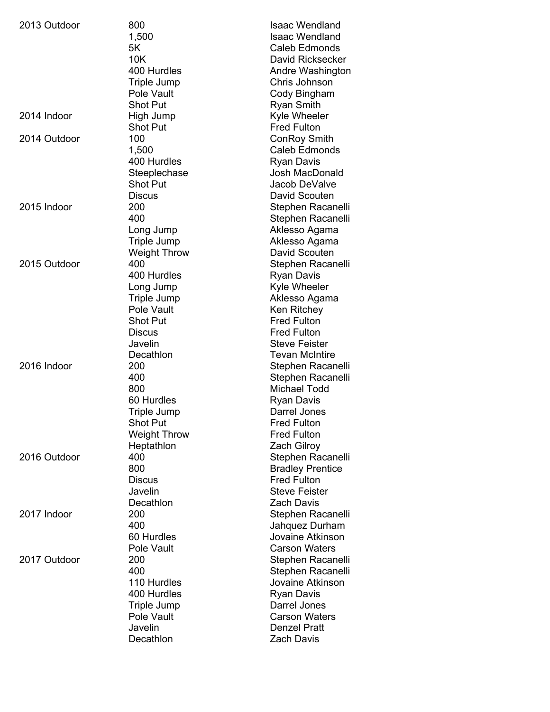| 2013 Outdoor | 800                 | <b>Isaac Wendland</b>   |
|--------------|---------------------|-------------------------|
|              | 1,500               | <b>Isaac Wendland</b>   |
|              | 5K                  | Caleb Edmonds           |
|              | 10K                 | David Ricksecker        |
|              | 400 Hurdles         | Andre Washington        |
|              | Triple Jump         | Chris Johnson           |
|              | Pole Vault          | Cody Bingham            |
|              | <b>Shot Put</b>     | <b>Ryan Smith</b>       |
| 2014 Indoor  | High Jump           | Kyle Wheeler            |
|              | <b>Shot Put</b>     | <b>Fred Fulton</b>      |
| 2014 Outdoor | 100                 | <b>ConRoy Smith</b>     |
|              | 1,500               | <b>Caleb Edmonds</b>    |
|              |                     |                         |
|              | 400 Hurdles         | <b>Ryan Davis</b>       |
|              | Steeplechase        | Josh MacDonald          |
|              | <b>Shot Put</b>     | Jacob DeValve           |
|              | <b>Discus</b>       | David Scouten           |
| 2015 Indoor  | 200                 | Stephen Racanelli       |
|              | 400                 | Stephen Racanelli       |
|              | Long Jump           | Aklesso Agama           |
|              | <b>Triple Jump</b>  | Aklesso Agama           |
|              | Weight Throw        | David Scouten           |
| 2015 Outdoor | 400                 | Stephen Racanelli       |
|              | 400 Hurdles         | <b>Ryan Davis</b>       |
|              | Long Jump           | Kyle Wheeler            |
|              | Triple Jump         | Aklesso Agama           |
|              | Pole Vault          | Ken Ritchey             |
|              | <b>Shot Put</b>     | <b>Fred Fulton</b>      |
|              | <b>Discus</b>       | <b>Fred Fulton</b>      |
|              | Javelin             | <b>Steve Feister</b>    |
|              | Decathlon           | <b>Tevan McIntire</b>   |
| 2016 Indoor  | 200                 | Stephen Racanelli       |
|              | 400                 | Stephen Racanelli       |
|              | 800                 | Michael Todd            |
|              | 60 Hurdles          | <b>Ryan Davis</b>       |
|              | Triple Jump         | Darrel Jones            |
|              | Shot Put            | <b>Fred Fulton</b>      |
|              | <b>Weight Throw</b> | <b>Fred Fulton</b>      |
|              | Heptathlon          | <b>Zach Gilroy</b>      |
| 2016 Outdoor | 400                 | Stephen Racanelli       |
|              | 800                 | <b>Bradley Prentice</b> |
|              | <b>Discus</b>       | <b>Fred Fulton</b>      |
|              | Javelin             | <b>Steve Feister</b>    |
|              | Decathlon           | <b>Zach Davis</b>       |
| 2017 Indoor  | 200                 | Stephen Racanelli       |
|              | 400                 | Jahquez Durham          |
|              | 60 Hurdles          | Jovaine Atkinson        |
|              | Pole Vault          | <b>Carson Waters</b>    |
|              | 200                 |                         |
| 2017 Outdoor |                     | Stephen Racanelli       |
|              | 400                 | Stephen Racanelli       |
|              | 110 Hurdles         | Jovaine Atkinson        |
|              | 400 Hurdles         | <b>Ryan Davis</b>       |
|              | <b>Triple Jump</b>  | Darrel Jones            |
|              | Pole Vault          | <b>Carson Waters</b>    |
|              | Javelin             | <b>Denzel Pratt</b>     |
|              | Decathlon           | Zach Davis              |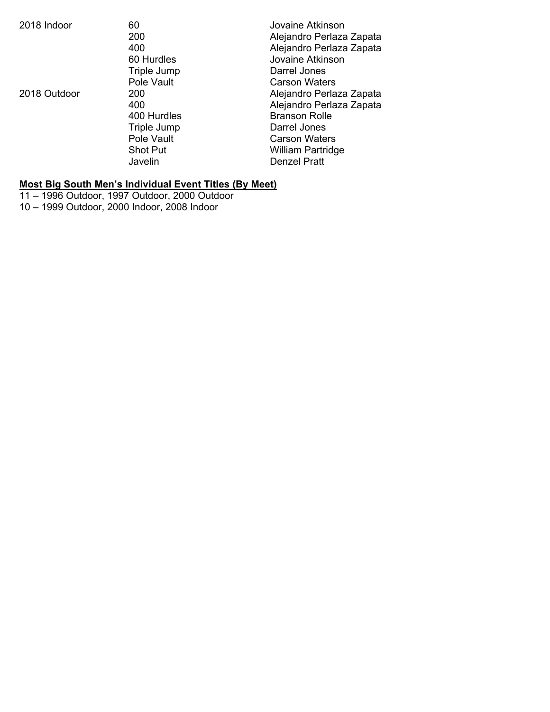| 2018 Indoor  | 60<br>200<br>400<br>60 Hurdles<br>Triple Jump                                                      | Jovaine Atkinson<br>Alejandro Perlaza Zapata<br>Alejandro Perlaza Zapata<br>Jovaine Atkinson<br>Darrel Jones                                                                                    |
|--------------|----------------------------------------------------------------------------------------------------|-------------------------------------------------------------------------------------------------------------------------------------------------------------------------------------------------|
| 2018 Outdoor | Pole Vault<br>200<br>400<br>400 Hurdles<br>Triple Jump<br>Pole Vault<br><b>Shot Put</b><br>Javelin | <b>Carson Waters</b><br>Alejandro Perlaza Zapata<br>Alejandro Perlaza Zapata<br><b>Branson Rolle</b><br>Darrel Jones<br><b>Carson Waters</b><br><b>William Partridge</b><br><b>Denzel Pratt</b> |

#### **Most Big South Men's Individual Event Titles (By Meet)**

11 – 1996 Outdoor, 1997 Outdoor, 2000 Outdoor

10 – 1999 Outdoor, 2000 Indoor, 2008 Indoor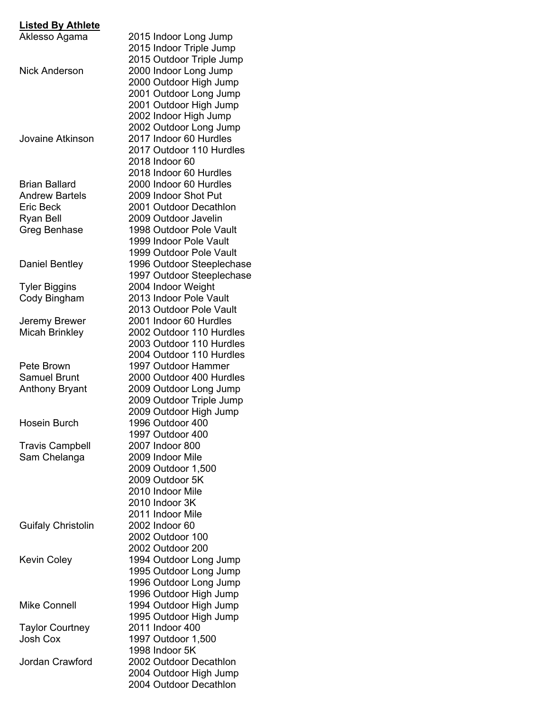## **Listed By Athlete**

| Aklesso Agama             | 2015 Indoor Long Jump     |
|---------------------------|---------------------------|
|                           | 2015 Indoor Triple Jump   |
|                           | 2015 Outdoor Triple Jump  |
| Nick Anderson             | 2000 Indoor Long Jump     |
|                           | 2000 Outdoor High Jump    |
|                           |                           |
|                           | 2001 Outdoor Long Jump    |
|                           | 2001 Outdoor High Jump    |
|                           | 2002 Indoor High Jump     |
|                           | 2002 Outdoor Long Jump    |
| Jovaine Atkinson          | 2017 Indoor 60 Hurdles    |
|                           | 2017 Outdoor 110 Hurdles  |
|                           | 2018 Indoor 60            |
|                           | 2018 Indoor 60 Hurdles    |
| <b>Brian Ballard</b>      | 2000 Indoor 60 Hurdles    |
| <b>Andrew Bartels</b>     | 2009 Indoor Shot Put      |
| Eric Beck                 | 2001 Outdoor Decathlon    |
| Ryan Bell                 | 2009 Outdoor Javelin      |
| Greg Benhase              | 1998 Outdoor Pole Vault   |
|                           | 1999 Indoor Pole Vault    |
|                           | 1999 Outdoor Pole Vault   |
|                           |                           |
| Daniel Bentley            | 1996 Outdoor Steeplechase |
|                           | 1997 Outdoor Steeplechase |
| <b>Tyler Biggins</b>      | 2004 Indoor Weight        |
| Cody Bingham              | 2013 Indoor Pole Vault    |
|                           | 2013 Outdoor Pole Vault   |
| Jeremy Brewer             | 2001 Indoor 60 Hurdles    |
| <b>Micah Brinkley</b>     | 2002 Outdoor 110 Hurdles  |
|                           | 2003 Outdoor 110 Hurdles  |
|                           | 2004 Outdoor 110 Hurdles  |
| Pete Brown                | 1997 Outdoor Hammer       |
| <b>Samuel Brunt</b>       | 2000 Outdoor 400 Hurdles  |
| <b>Anthony Bryant</b>     | 2009 Outdoor Long Jump    |
|                           |                           |
|                           | 2009 Outdoor Triple Jump  |
|                           | 2009 Outdoor High Jump    |
| <b>Hosein Burch</b>       | 1996 Outdoor 400          |
|                           | 1997 Outdoor 400          |
| <b>Travis Campbell</b>    | 2007 Indoor 800           |
| Sam Chelanga              | 2009 Indoor Mile          |
|                           | 2009 Outdoor 1,500        |
|                           | 2009 Outdoor 5K           |
|                           | 2010 Indoor Mile          |
|                           | 2010 Indoor 3K            |
|                           | 2011 Indoor Mile          |
| <b>Guifaly Christolin</b> | 2002 Indoor 60            |
|                           | 2002 Outdoor 100          |
|                           | 2002 Outdoor 200          |
| <b>Kevin Coley</b>        | 1994 Outdoor Long Jump    |
|                           |                           |
|                           | 1995 Outdoor Long Jump    |
|                           | 1996 Outdoor Long Jump    |
|                           | 1996 Outdoor High Jump    |
| <b>Mike Connell</b>       | 1994 Outdoor High Jump    |
|                           | 1995 Outdoor High Jump    |
| <b>Taylor Courtney</b>    | 2011 Indoor 400           |
| <b>Josh Cox</b>           | 1997 Outdoor 1,500        |
|                           | 1998 Indoor 5K            |
| Jordan Crawford           | 2002 Outdoor Decathlon    |
|                           | 2004 Outdoor High Jump    |
|                           | 2004 Outdoor Decathlon    |
|                           |                           |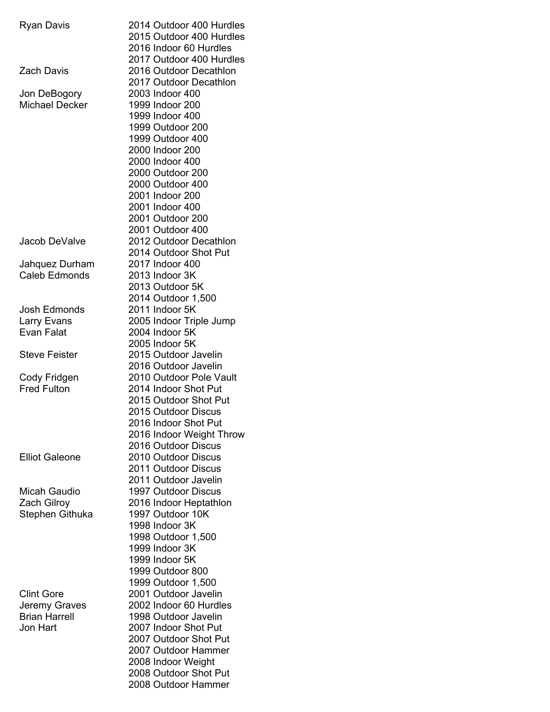| <b>Ryan Davis</b>     | 2014 Outdoor 400 Hurdles |
|-----------------------|--------------------------|
|                       | 2015 Outdoor 400 Hurdles |
|                       | 2016 Indoor 60 Hurdles   |
|                       | 2017 Outdoor 400 Hurdles |
| <b>Zach Davis</b>     | 2016 Outdoor Decathlon   |
|                       | 2017 Outdoor Decathlon   |
| Jon DeBogory          | 2003 Indoor 400          |
| <b>Michael Decker</b> | 1999 Indoor 200          |
|                       |                          |
|                       | 1999 Indoor 400          |
|                       | 1999 Outdoor 200         |
|                       | 1999 Outdoor 400         |
|                       | 2000 Indoor 200          |
|                       | 2000 Indoor 400          |
|                       | 2000 Outdoor 200         |
|                       | 2000 Outdoor 400         |
|                       | 2001 Indoor 200          |
|                       | 2001 Indoor 400          |
|                       | 2001 Outdoor 200         |
|                       |                          |
|                       | 2001 Outdoor 400         |
| Jacob DeValve         | 2012 Outdoor Decathlon   |
|                       | 2014 Outdoor Shot Put    |
| Jahquez Durham        | 2017 Indoor 400          |
| <b>Caleb Edmonds</b>  | 2013 Indoor 3K           |
|                       | 2013 Outdoor 5K          |
|                       | 2014 Outdoor 1,500       |
| Josh Edmonds          | 2011 Indoor 5K           |
| Larry Evans           | 2005 Indoor Triple Jump  |
| <b>Evan Falat</b>     | 2004 Indoor 5K           |
|                       | 2005 Indoor 5K           |
| <b>Steve Feister</b>  | 2015 Outdoor Javelin     |
|                       | 2016 Outdoor Javelin     |
|                       |                          |
| Cody Fridgen          | 2010 Outdoor Pole Vault  |
| <b>Fred Fulton</b>    | 2014 Indoor Shot Put     |
|                       | 2015 Outdoor Shot Put    |
|                       | 2015 Outdoor Discus      |
|                       | 2016 Indoor Shot Put     |
|                       | 2016 Indoor Weight Throw |
|                       | 2016 Outdoor Discus      |
| <b>Elliot Galeone</b> | 2010 Outdoor Discus      |
|                       | 2011 Outdoor Discus      |
|                       | 2011 Outdoor Javelin     |
| Micah Gaudio          | 1997 Outdoor Discus      |
|                       | 2016 Indoor Heptathlon   |
| <b>Zach Gilroy</b>    |                          |
| Stephen Githuka       | 1997 Outdoor 10K         |
|                       | 1998 Indoor 3K           |
|                       | 1998 Outdoor 1,500       |
|                       | 1999 Indoor 3K           |
|                       | 1999 Indoor 5K           |
|                       | 1999 Outdoor 800         |
|                       | 1999 Outdoor 1,500       |
| <b>Clint Gore</b>     | 2001 Outdoor Javelin     |
| Jeremy Graves         | 2002 Indoor 60 Hurdles   |
| <b>Brian Harrell</b>  | 1998 Outdoor Javelin     |
| Jon Hart              | 2007 Indoor Shot Put     |
|                       | 2007 Outdoor Shot Put    |
|                       |                          |
|                       | 2007 Outdoor Hammer      |
|                       | 2008 Indoor Weight       |
|                       | 2008 Outdoor Shot Put    |
|                       | 2008 Outdoor Hammer      |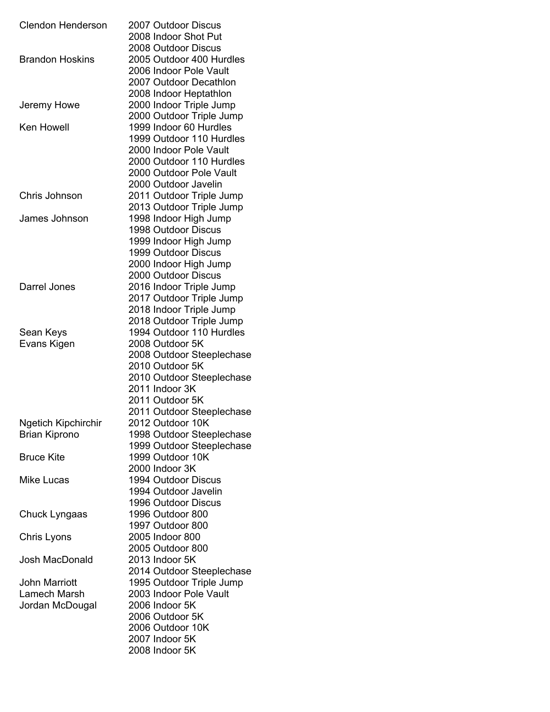| <b>Clendon Henderson</b>   | 2007 Outdoor Discus       |
|----------------------------|---------------------------|
|                            | 2008 Indoor Shot Put      |
|                            | 2008 Outdoor Discus       |
| <b>Brandon Hoskins</b>     | 2005 Outdoor 400 Hurdles  |
|                            | 2006 Indoor Pole Vault    |
|                            | 2007 Outdoor Decathlon    |
|                            | 2008 Indoor Heptathlon    |
| Jeremy Howe                | 2000 Indoor Triple Jump   |
|                            | 2000 Outdoor Triple Jump  |
| <b>Ken Howell</b>          | 1999 Indoor 60 Hurdles    |
|                            | 1999 Outdoor 110 Hurdles  |
|                            | 2000 Indoor Pole Vault    |
|                            | 2000 Outdoor 110 Hurdles  |
|                            | 2000 Outdoor Pole Vault   |
|                            | 2000 Outdoor Javelin      |
| Chris Johnson              | 2011 Outdoor Triple Jump  |
|                            | 2013 Outdoor Triple Jump  |
| James Johnson              | 1998 Indoor High Jump     |
|                            | 1998 Outdoor Discus       |
|                            | 1999 Indoor High Jump     |
|                            | 1999 Outdoor Discus       |
|                            | 2000 Indoor High Jump     |
|                            | 2000 Outdoor Discus       |
| Darrel Jones               | 2016 Indoor Triple Jump   |
|                            | 2017 Outdoor Triple Jump  |
|                            | 2018 Indoor Triple Jump   |
|                            | 2018 Outdoor Triple Jump  |
| Sean Keys                  | 1994 Outdoor 110 Hurdles  |
| Evans Kigen                | 2008 Outdoor 5K           |
|                            | 2008 Outdoor Steeplechase |
|                            | 2010 Outdoor 5K           |
|                            | 2010 Outdoor Steeplechase |
|                            | 2011 Indoor 3K            |
|                            | 2011 Outdoor 5K           |
|                            | 2011 Outdoor Steeplechase |
| <b>Ngetich Kipchirchir</b> | 2012 Outdoor 10K          |
| <b>Brian Kiprono</b>       | 1998 Outdoor Steeplechase |
|                            | 1999 Outdoor Steeplechase |
| <b>Bruce Kite</b>          | 1999 Outdoor 10K          |
|                            | 2000 Indoor 3K            |
| Mike Lucas                 | 1994 Outdoor Discus       |
|                            | 1994 Outdoor Javelin      |
|                            | 1996 Outdoor Discus       |
| Chuck Lyngaas              | 1996 Outdoor 800          |
|                            | 1997 Outdoor 800          |
| Chris Lyons                | 2005 Indoor 800           |
|                            | 2005 Outdoor 800          |
| <b>Josh MacDonald</b>      | 2013 Indoor 5K            |
|                            | 2014 Outdoor Steeplechase |
| <b>John Marriott</b>       | 1995 Outdoor Triple Jump  |
| Lamech Marsh               | 2003 Indoor Pole Vault    |
| Jordan McDougal            | 2006 Indoor 5K            |
|                            | 2006 Outdoor 5K           |
|                            | 2006 Outdoor 10K          |
|                            | 2007 Indoor 5K            |
|                            | 2008 Indoor 5K            |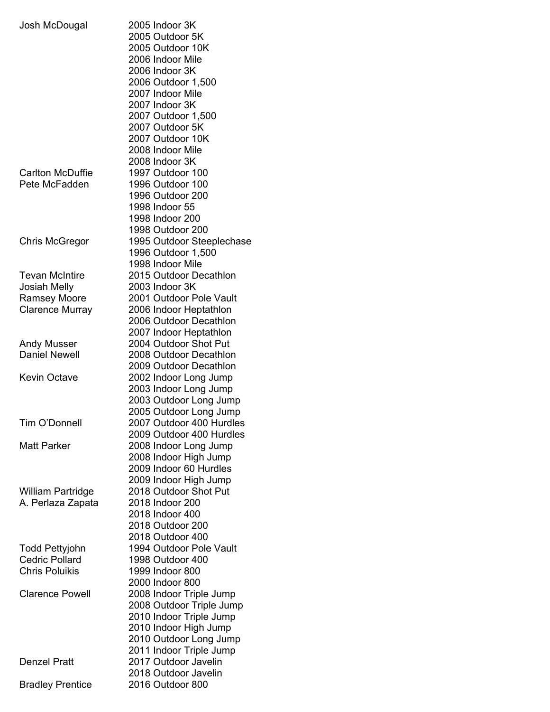| Josh McDougal                     | 2005 Indoor 3K<br>2005 Outdoor 5K<br>2005 Outdoor 10K<br>2006 Indoor Mile<br>2006 Indoor 3K<br>2006 Outdoor 1,500<br>2007 Indoor Mile<br>2007 Indoor 3K<br>2007 Outdoor 1,500<br>2007 Outdoor 5K<br>2007 Outdoor 10K<br>2008 Indoor Mile |
|-----------------------------------|------------------------------------------------------------------------------------------------------------------------------------------------------------------------------------------------------------------------------------------|
| Carlton McDuffie<br>Pete McFadden | 2008 Indoor 3K<br>1997 Outdoor 100<br>1996 Outdoor 100<br>1996 Outdoor 200<br>1998 Indoor 55<br>1998 Indoor 200                                                                                                                          |
| Chris McGregor                    | 1998 Outdoor 200<br>1995 Outdoor Steeplechase<br>1996 Outdoor 1,500<br>1998 Indoor Mile                                                                                                                                                  |
| <b>Tevan McIntire</b>             | 2015 Outdoor Decathlon                                                                                                                                                                                                                   |
| <b>Josiah Melly</b>               | 2003 Indoor 3K                                                                                                                                                                                                                           |
| <b>Ramsey Moore</b>               | 2001 Outdoor Pole Vault                                                                                                                                                                                                                  |
| <b>Clarence Murray</b>            | 2006 Indoor Heptathlon                                                                                                                                                                                                                   |
|                                   | 2006 Outdoor Decathlon                                                                                                                                                                                                                   |
|                                   | 2007 Indoor Heptathlon                                                                                                                                                                                                                   |
| <b>Andy Musser</b>                | 2004 Outdoor Shot Put                                                                                                                                                                                                                    |
| <b>Daniel Newell</b>              | 2008 Outdoor Decathlon                                                                                                                                                                                                                   |
|                                   | 2009 Outdoor Decathlon                                                                                                                                                                                                                   |
| <b>Kevin Octave</b>               | 2002 Indoor Long Jump                                                                                                                                                                                                                    |
|                                   | 2003 Indoor Long Jump                                                                                                                                                                                                                    |
|                                   | 2003 Outdoor Long Jump                                                                                                                                                                                                                   |
|                                   | 2005 Outdoor Long Jump                                                                                                                                                                                                                   |
| Tim O'Donnell                     | 2007 Outdoor 400 Hurdles                                                                                                                                                                                                                 |
|                                   | 2009 Outdoor 400 Hurdles                                                                                                                                                                                                                 |
| <b>Matt Parker</b>                | 2008 Indoor Long Jump                                                                                                                                                                                                                    |
|                                   | 2008 Indoor High Jump                                                                                                                                                                                                                    |
|                                   | 2009 Indoor 60 Hurdles                                                                                                                                                                                                                   |
|                                   | 2009 Indoor High Jump                                                                                                                                                                                                                    |
| William Partridge                 | 2018 Outdoor Shot Put                                                                                                                                                                                                                    |
| A. Perlaza Zapata                 | 2018 Indoor 200                                                                                                                                                                                                                          |
|                                   | 2018 Indoor 400                                                                                                                                                                                                                          |
|                                   | 2018 Outdoor 200                                                                                                                                                                                                                         |
|                                   | 2018 Outdoor 400                                                                                                                                                                                                                         |
|                                   |                                                                                                                                                                                                                                          |
| Todd Pettyjohn                    | 1994 Outdoor Pole Vault                                                                                                                                                                                                                  |
| <b>Cedric Pollard</b>             | 1998 Outdoor 400                                                                                                                                                                                                                         |
| <b>Chris Poluikis</b>             | 1999 Indoor 800                                                                                                                                                                                                                          |
|                                   | 2000 Indoor 800                                                                                                                                                                                                                          |
| <b>Clarence Powell</b>            | 2008 Indoor Triple Jump                                                                                                                                                                                                                  |
|                                   | 2008 Outdoor Triple Jump                                                                                                                                                                                                                 |
|                                   | 2010 Indoor Triple Jump                                                                                                                                                                                                                  |
|                                   | 2010 Indoor High Jump                                                                                                                                                                                                                    |
|                                   | 2010 Outdoor Long Jump                                                                                                                                                                                                                   |
|                                   | 2011 Indoor Triple Jump                                                                                                                                                                                                                  |
| <b>Denzel Pratt</b>               | 2017 Outdoor Javelin                                                                                                                                                                                                                     |
|                                   | 2018 Outdoor Javelin                                                                                                                                                                                                                     |
| <b>Bradley Prentice</b>           | 2016 Outdoor 800                                                                                                                                                                                                                         |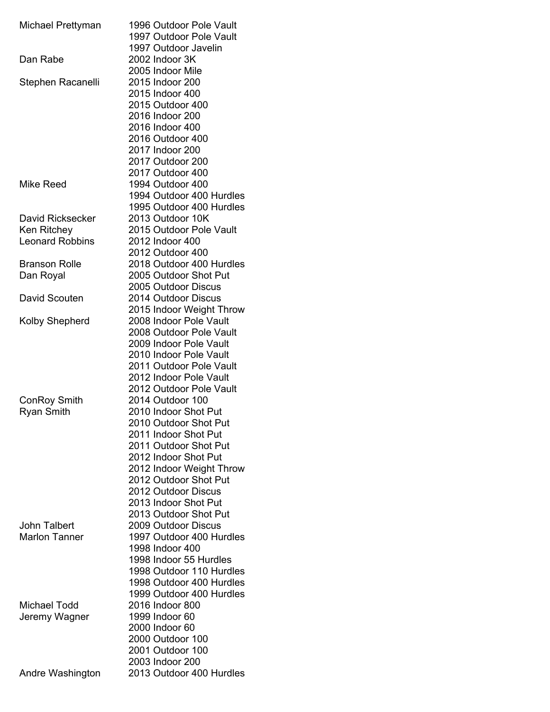| Michael Prettyman      | 1996 Outdoor Pole Vault  |
|------------------------|--------------------------|
|                        | 1997 Outdoor Pole Vault  |
|                        | 1997 Outdoor Javelin     |
| Dan Rabe               | 2002 Indoor 3K           |
|                        | 2005 Indoor Mile         |
| Stephen Racanelli      | 2015 Indoor 200          |
|                        | 2015 Indoor 400          |
|                        | 2015 Outdoor 400         |
|                        | 2016 Indoor 200          |
|                        | 2016 Indoor 400          |
|                        | 2016 Outdoor 400         |
|                        | 2017 Indoor 200          |
|                        | 2017 Outdoor 200         |
|                        | 2017 Outdoor 400         |
| Mike Reed              | 1994 Outdoor 400         |
|                        | 1994 Outdoor 400 Hurdles |
|                        | 1995 Outdoor 400 Hurdles |
| David Ricksecker       | 2013 Outdoor 10K         |
| Ken Ritchey            | 2015 Outdoor Pole Vault  |
| <b>Leonard Robbins</b> | 2012 Indoor 400          |
|                        | 2012 Outdoor 400         |
| <b>Branson Rolle</b>   | 2018 Outdoor 400 Hurdles |
| Dan Royal              | 2005 Outdoor Shot Put    |
|                        | 2005 Outdoor Discus      |
| David Scouten          | 2014 Outdoor Discus      |
|                        | 2015 Indoor Weight Throw |
| Kolby Shepherd         | 2008 Indoor Pole Vault   |
|                        | 2008 Outdoor Pole Vault  |
|                        | 2009 Indoor Pole Vault   |
|                        | 2010 Indoor Pole Vault   |
|                        | 2011 Outdoor Pole Vault  |
|                        | 2012 Indoor Pole Vault   |
|                        | 2012 Outdoor Pole Vault  |
| ConRoy Smith           | 2014 Outdoor 100         |
| <b>Ryan Smith</b>      | 2010 Indoor Shot Put     |
|                        | 2010 Outdoor Shot Put    |
|                        | 2011 Indoor Shot Put     |
|                        | 2011 Outdoor Shot Put    |
|                        | 2012 Indoor Shot Put     |
|                        | 2012 Indoor Weight Throw |
|                        | 2012 Outdoor Shot Put    |
|                        | 2012 Outdoor Discus      |
|                        | 2013 Indoor Shot Put     |
|                        | 2013 Outdoor Shot Put    |
| <b>John Talbert</b>    | 2009 Outdoor Discus      |
| <b>Marlon Tanner</b>   | 1997 Outdoor 400 Hurdles |
|                        | 1998 Indoor 400          |
|                        | 1998 Indoor 55 Hurdles   |
|                        | 1998 Outdoor 110 Hurdles |
|                        | 1998 Outdoor 400 Hurdles |
|                        | 1999 Outdoor 400 Hurdles |
| Michael Todd           | 2016 Indoor 800          |
| Jeremy Wagner          | 1999 Indoor 60           |
|                        | 2000 Indoor 60           |
|                        | 2000 Outdoor 100         |
|                        | 2001 Outdoor 100         |
|                        | 2003 Indoor 200          |
| Andre Washington       | 2013 Outdoor 400 Hurdles |
|                        |                          |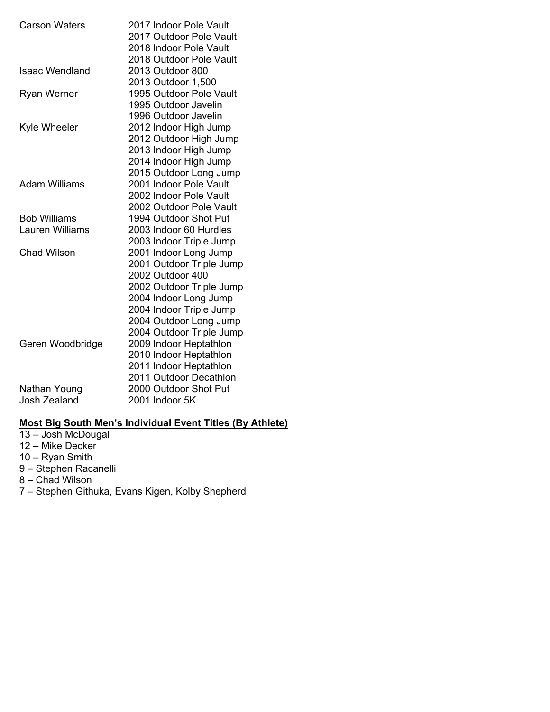| <b>Carson Waters</b> | 2017 Indoor Pole Vault<br>2017 Outdoor Pole Vault<br>2018 Indoor Pole Vault<br>2018 Outdoor Pole Vault |
|----------------------|--------------------------------------------------------------------------------------------------------|
| Isaac Wendland       | 2013 Outdoor 800<br>2013 Outdoor 1,500                                                                 |
| <b>Ryan Werner</b>   | 1995 Outdoor Pole Vault<br>1995 Outdoor Javelin                                                        |
|                      | 1996 Outdoor Javelin                                                                                   |
| Kyle Wheeler         | 2012 Indoor High Jump                                                                                  |
|                      | 2012 Outdoor High Jump                                                                                 |
|                      | 2013 Indoor High Jump                                                                                  |
|                      | 2014 Indoor High Jump                                                                                  |
|                      | 2015 Outdoor Long Jump                                                                                 |
| <b>Adam Williams</b> | 2001 Indoor Pole Vault                                                                                 |
|                      | 2002 Indoor Pole Vault                                                                                 |
|                      | 2002 Outdoor Pole Vault                                                                                |
| <b>Bob Williams</b>  | 1994 Outdoor Shot Put                                                                                  |
| Lauren Williams      | 2003 Indoor 60 Hurdles                                                                                 |
|                      | 2003 Indoor Triple Jump                                                                                |
| Chad Wilson          | 2001 Indoor Long Jump                                                                                  |
|                      | 2001 Outdoor Triple Jump                                                                               |
|                      | 2002 Outdoor 400                                                                                       |
|                      | 2002 Outdoor Triple Jump                                                                               |
|                      | 2004 Indoor Long Jump                                                                                  |
|                      | 2004 Indoor Triple Jump                                                                                |
|                      | 2004 Outdoor Long Jump                                                                                 |
|                      | 2004 Outdoor Triple Jump                                                                               |
| Geren Woodbridge     | 2009 Indoor Heptathlon                                                                                 |
|                      | 2010 Indoor Heptathlon                                                                                 |
|                      | 2011 Indoor Heptathlon                                                                                 |
|                      | 2011 Outdoor Decathlon                                                                                 |
| Nathan Young         | 2000 Outdoor Shot Put                                                                                  |
| Josh Zealand         | 2001 Indoor 5K                                                                                         |

## **Most Big South Men's Individual Event Titles (By Athlete)**

13 – Josh McDougal 12 – Mike Decker 10 – Ryan Smith 9 – Stephen Racanelli 8 – Chad Wilson 7 – Stephen Githuka, Evans Kigen, Kolby Shepherd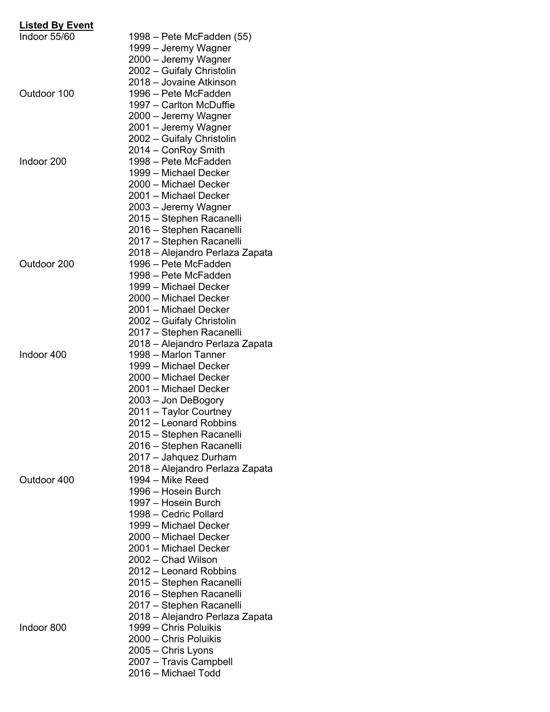| <b>Listed By Event</b> |                                 |
|------------------------|---------------------------------|
| Indoor 55/60           | 1998 – Pete McFadden (55)       |
|                        | 1999 – Jeremy Wagner            |
|                        | 2000 – Jeremy Wagner            |
|                        | 2002 - Guifaly Christolin       |
|                        | 2018 - Jovaine Atkinson         |
| Outdoor 100            | 1996 – Pete McFadden            |
|                        | 1997 – Carlton McDuffie         |
|                        | 2000 – Jeremy Wagner            |
|                        | 2001 - Jeremy Wagner            |
|                        | 2002 - Guifaly Christolin       |
|                        | 2014 - ConRoy Smith             |
| Indoor 200             | 1998 - Pete McFadden            |
|                        | 1999 - Michael Decker           |
|                        | 2000 - Michael Decker           |
|                        | 2001 – Michael Decker           |
|                        | 2003 – Jeremy Wagner            |
|                        | 2015 - Stephen Racanelli        |
|                        | 2016 - Stephen Racanelli        |
|                        | 2017 - Stephen Racanelli        |
|                        | 2018 – Alejandro Perlaza Zapata |
| Outdoor 200            | 1996 - Pete McFadden            |
|                        | 1998 – Pete McFadden            |
|                        | 1999 - Michael Decker           |
|                        | 2000 – Michael Decker           |
|                        | 2001 – Michael Decker           |
|                        | 2002 - Guifaly Christolin       |
|                        | 2017 - Stephen Racanelli        |
|                        | 2018 – Alejandro Perlaza Zapata |
| Indoor 400             | 1998 - Marlon Tanner            |
|                        | 1999 - Michael Decker           |
|                        | 2000 - Michael Decker           |
|                        | 2001 – Michael Decker           |
|                        | 2003 – Jon DeBogory             |
|                        | 2011 - Taylor Courtney          |
|                        | 2012 – Leonard Robbins          |
|                        | 2015 – Stephen Racanelli        |
|                        | 2016 - Stephen Racanelli        |
|                        | 2017 - Jahquez Durham           |
|                        | 2018 – Alejandro Perlaza Zapata |
| Outdoor 400            | 1994 - Mike Reed                |
|                        | 1996 – Hosein Burch             |
|                        | 1997 – Hosein Burch             |
|                        | 1998 - Cedric Pollard           |
|                        | 1999 - Michael Decker           |
|                        | 2000 - Michael Decker           |
|                        | 2001 - Michael Decker           |
|                        | 2002 - Chad Wilson              |
|                        | 2012 – Leonard Robbins          |
|                        | 2015 – Stephen Racanelli        |
|                        | 2016 – Stephen Racanelli        |
|                        | 2017 - Stephen Racanelli        |
|                        | 2018 – Alejandro Perlaza Zapata |
| Indoor 800             | 1999 - Chris Poluikis           |
|                        | 2000 - Chris Poluikis           |
|                        | 2005 - Chris Lyons              |
|                        | 2007 - Travis Campbell          |
|                        | 2016 – Michael Todd             |
|                        |                                 |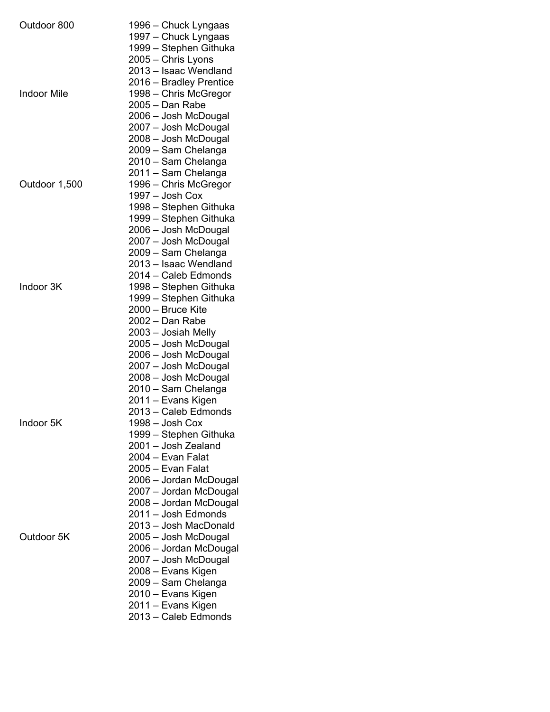| Outdoor 800        | 1996 – Chuck Lyngaas    |
|--------------------|-------------------------|
|                    | 1997 – Chuck Lyngaas    |
|                    | 1999 - Stephen Githuka  |
|                    | 2005 - Chris Lyons      |
|                    | 2013 - Isaac Wendland   |
|                    | 2016 - Bradley Prentice |
| <b>Indoor Mile</b> | 1998 - Chris McGregor   |
|                    | 2005 - Dan Rabe         |
|                    | 2006 - Josh McDougal    |
|                    | 2007 – Josh McDougal    |
|                    | 2008 - Josh McDougal    |
|                    | 2009 – Sam Chelanga     |
|                    | 2010 - Sam Chelanga     |
|                    | 2011 - Sam Chelanga     |
| Outdoor 1,500      | 1996 - Chris McGregor   |
|                    | 1997 - Josh Cox         |
|                    | 1998 – Stephen Githuka  |
|                    | 1999 – Stephen Githuka  |
|                    | 2006 - Josh McDougal    |
|                    | 2007 – Josh McDougal    |
|                    | 2009 - Sam Chelanga     |
|                    | 2013 - Isaac Wendland   |
|                    | 2014 - Caleb Edmonds    |
| Indoor 3K          | 1998 - Stephen Githuka  |
|                    | 1999 - Stephen Githuka  |
|                    | 2000 - Bruce Kite       |
|                    | 2002 - Dan Rabe         |
|                    | 2003 – Josiah Melly     |
|                    | 2005 – Josh McDougal    |
|                    | 2006 – Josh McDougal    |
|                    | 2007 - Josh McDougal    |
|                    | 2008 - Josh McDougal    |
|                    | 2010 - Sam Chelanga     |
|                    | 2011 – Evans Kigen      |
|                    | 2013 - Caleb Edmonds    |
| Indoor 5K          | 1998 - Josh Cox         |
|                    | 1999 – Stephen Githuka  |
|                    | 2001 - Josh Zealand     |
|                    | 2004 - Evan Falat       |
|                    | 2005 - Evan Falat       |
|                    | 2006 - Jordan McDougal  |
|                    | 2007 - Jordan McDougal  |
|                    | 2008 - Jordan McDougal  |
|                    | 2011 - Josh Edmonds     |
|                    | 2013 - Josh MacDonald   |
| Outdoor 5K         | 2005 - Josh McDougal    |
|                    | 2006 – Jordan McDougal  |
|                    | 2007 – Josh McDougal    |
|                    | 2008 – Evans Kigen      |
|                    | 2009 - Sam Chelanga     |
|                    | 2010 – Evans Kigen      |
|                    | 2011 – Evans Kigen      |
|                    | 2013 - Caleb Edmonds    |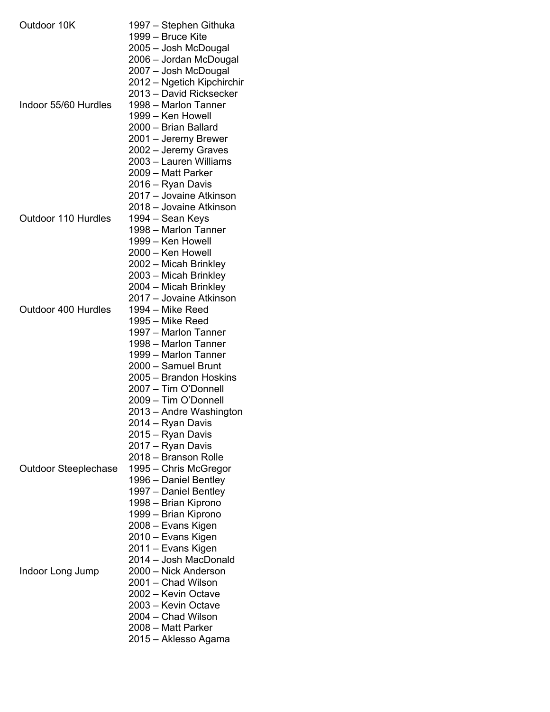| Outdoor 10K                 | 1997 – Stephen Githuka     |
|-----------------------------|----------------------------|
|                             | 1999 – Bruce Kite          |
|                             | 2005 – Josh McDougal       |
|                             | 2006 – Jordan McDougal     |
|                             | 2007 - Josh McDougal       |
|                             | 2012 – Ngetich Kipchirchir |
|                             | 2013 - David Ricksecker    |
| Indoor 55/60 Hurdles        | 1998 - Marlon Tanner       |
|                             | 1999 - Ken Howell          |
|                             | 2000 - Brian Ballard       |
|                             |                            |
|                             | 2001 - Jeremy Brewer       |
|                             | 2002 - Jeremy Graves       |
|                             | 2003 - Lauren Williams     |
|                             | 2009 - Matt Parker         |
|                             | 2016 – Ryan Davis          |
|                             | 2017 - Jovaine Atkinson    |
|                             | 2018 – Jovaine Atkinson    |
| Outdoor 110 Hurdles         | 1994 – Sean Keys           |
|                             | 1998 - Marlon Tanner       |
|                             | 1999 - Ken Howell          |
|                             |                            |
|                             | 2000 – Ken Howell          |
|                             | 2002 – Micah Brinkley      |
|                             | 2003 – Micah Brinkley      |
|                             | 2004 – Micah Brinkley      |
|                             | 2017 – Jovaine Atkinson    |
| Outdoor 400 Hurdles         | 1994 – Mike Reed           |
|                             | 1995 – Mike Reed           |
|                             | 1997 - Marlon Tanner       |
|                             | 1998 - Marlon Tanner       |
|                             | 1999 - Marlon Tanner       |
|                             | 2000 – Samuel Brunt        |
|                             |                            |
|                             | 2005 - Brandon Hoskins     |
|                             | 2007 - Tim O'Donnell       |
|                             | 2009 - Tim O'Donnell       |
|                             | 2013 - Andre Washington    |
|                             | 2014 – Ryan Davis          |
|                             | 2015 - Ryan Davis          |
|                             | 2017 - Ryan Davis          |
|                             | 2018 - Branson Rolle       |
| <b>Outdoor Steeplechase</b> | 1995 - Chris McGregor      |
|                             | 1996 – Daniel Bentley      |
|                             | 1997 – Daniel Bentley      |
|                             | 1998 – Brian Kiprono       |
|                             |                            |
|                             | 1999 – Brian Kiprono       |
|                             | 2008 – Evans Kigen         |
|                             | 2010 – Evans Kigen         |
|                             | 2011 – Evans Kigen         |
|                             | 2014 - Josh MacDonald      |
| Indoor Long Jump            | 2000 - Nick Anderson       |
|                             | 2001 - Chad Wilson         |
|                             | 2002 - Kevin Octave        |
|                             | 2003 - Kevin Octave        |
|                             | 2004 - Chad Wilson         |
|                             | 2008 - Matt Parker         |
|                             |                            |
|                             | 2015 - Aklesso Agama       |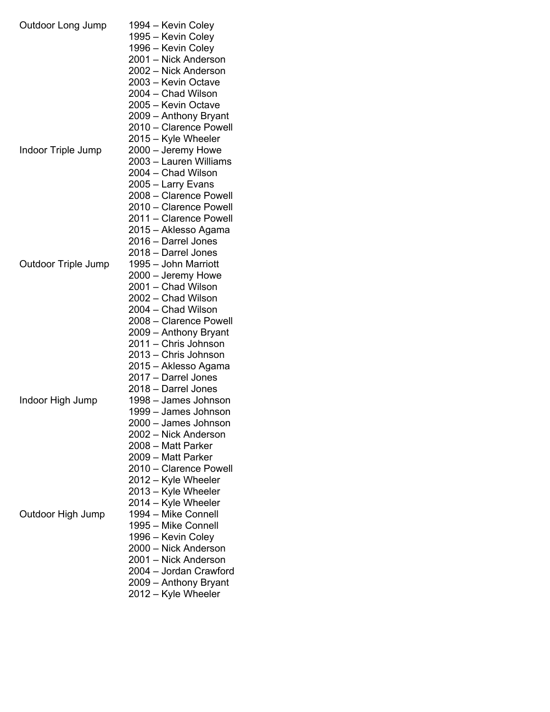| Outdoor Long Jump   | 1994 – Kevin Coley<br>1995 – Kevin Coley<br>1996 – Kevin Coley<br>2001 – Nick Anderson<br>2002 - Nick Anderson<br>2003 - Kevin Octave<br>2004 - Chad Wilson<br>2005 - Kevin Octave<br>2009 - Anthony Bryant<br>2010 - Clarence Powell<br>2015 - Kyle Wheeler                          |
|---------------------|---------------------------------------------------------------------------------------------------------------------------------------------------------------------------------------------------------------------------------------------------------------------------------------|
| Indoor Triple Jump  | 2000 - Jeremy Howe<br>2003 - Lauren Williams<br>2004 - Chad Wilson<br>2005 - Larry Evans<br>2008 - Clarence Powell<br>2010 - Clarence Powell<br>2011 - Clarence Powell<br>2015 – Aklesso Agama<br>2016 - Darrel Jones<br>2018 - Darrel Jones                                          |
| Outdoor Triple Jump | 1995 - John Marriott<br>2000 – Jeremy Howe<br>2001 - Chad Wilson<br>2002 - Chad Wilson<br>2004 - Chad Wilson<br>2008 - Clarence Powell<br>2009 - Anthony Bryant<br>2011 - Chris Johnson<br>2013 - Chris Johnson<br>2015 – Aklesso Agama<br>2017 - Darrel Jones<br>2018 - Darrel Jones |
| Indoor High Jump    | 1998 - James Johnson<br>1999 - James Johnson<br>2000 – James Johnson<br>2002 - Nick Anderson<br>2008 - Matt Parker<br>2009 - Matt Parker<br>2010 - Clarence Powell<br>2012 – Kyle Wheeler<br>2013 - Kyle Wheeler<br>2014 - Kyle Wheeler                                               |
| Outdoor High Jump   | 1994 - Mike Connell<br>1995 - Mike Connell<br>1996 - Kevin Coley<br>2000 - Nick Anderson<br>2001 – Nick Anderson<br>2004 - Jordan Crawford<br>2009 - Anthony Bryant<br>2012 - Kyle Wheeler                                                                                            |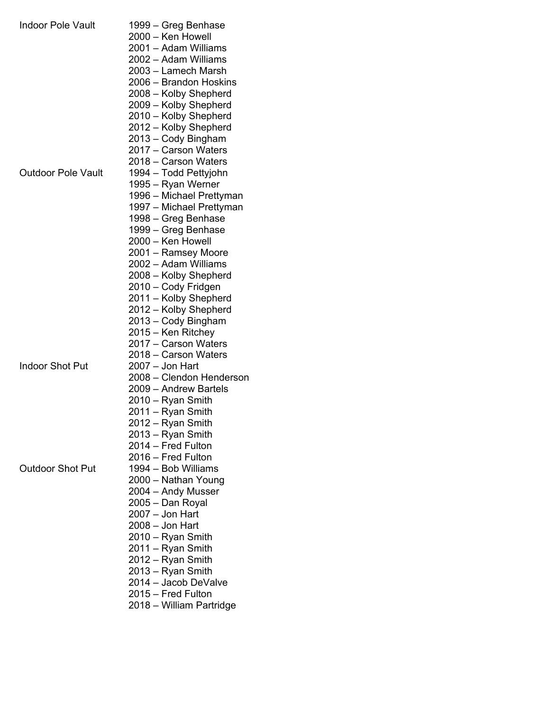| <b>Indoor Pole Vault</b>  | 1999 – Greg Benhase<br>2000 - Ken Howell |
|---------------------------|------------------------------------------|
|                           | 2001 – Adam Williams                     |
|                           | 2002 - Adam Williams                     |
|                           | 2003 - Lamech Marsh                      |
|                           | 2006 – Brandon Hoskins                   |
|                           | 2008 – Kolby Shepherd                    |
|                           | 2009 – Kolby Shepherd                    |
|                           | 2010 - Kolby Shepherd                    |
|                           | 2012 - Kolby Shepherd                    |
|                           | 2013 – Cody Bingham                      |
|                           | 2017 - Carson Waters                     |
|                           | 2018 - Carson Waters                     |
| <b>Outdoor Pole Vault</b> | 1994 - Todd Pettyjohn                    |
|                           | 1995 – Ryan Werner                       |
|                           | 1996 – Michael Prettyman                 |
|                           | 1997 – Michael Prettyman                 |
|                           | 1998 – Greg Benhase                      |
|                           | 1999 – Greg Benhase                      |
|                           | 2000 – Ken Howell                        |
|                           | 2001 – Ramsey Moore                      |
|                           | 2002 - Adam Williams                     |
|                           | 2008 - Kolby Shepherd                    |
|                           | 2010 - Cody Fridgen                      |
|                           | 2011 - Kolby Shepherd                    |
|                           | 2012 – Kolby Shepherd                    |
|                           | 2013 - Cody Bingham                      |
|                           | 2015 – Ken Ritchey                       |
|                           | 2017 - Carson Waters                     |
|                           | 2018 – Carson Waters                     |
| <b>Indoor Shot Put</b>    | 2007 - Jon Hart                          |
|                           | 2008 - Clendon Henderson                 |
|                           | 2009 - Andrew Bartels                    |
|                           | 2010 – Ryan Smith                        |
|                           | 2011 – Ryan Smith                        |
|                           | 2012 – Ryan Smith                        |
|                           | 2013 - Ryan Smith                        |
|                           | 2014 - Fred Fulton                       |
|                           | 2016 – Fred Fulton                       |
| <b>Outdoor Shot Put</b>   | 1994 - Bob Williams                      |
|                           | 2000 - Nathan Young                      |
|                           | 2004 – Andy Musser                       |
|                           | 2005 – Dan Royal                         |
|                           | 2007 – Jon Hart                          |
|                           | 2008 – Jon Hart                          |
|                           | 2010 – Ryan Smith                        |
|                           | 2011 - Ryan Smith                        |
|                           | 2012 – Ryan Smith                        |
|                           | 2013 – Ryan Smith                        |
|                           | 2014 - Jacob DeValve                     |
|                           | 2015 - Fred Fulton                       |
|                           | 2018 - William Partridge                 |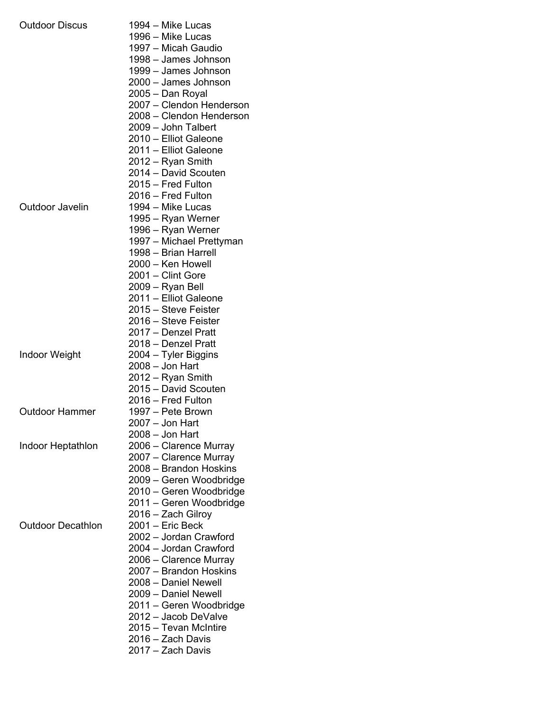| <b>Outdoor Discus</b>    | 1994 – Mike Lucas<br>1996 - Mike Lucas<br>1997 - Micah Gaudio<br>1998 - James Johnson<br>1999 - James Johnson<br>2000 - James Johnson<br>2005 – Dan Royal<br>2007 - Clendon Henderson<br>2008 - Clendon Henderson<br>2009 - John Talbert<br>2010 - Elliot Galeone<br>2011 - Elliot Galeone     |
|--------------------------|------------------------------------------------------------------------------------------------------------------------------------------------------------------------------------------------------------------------------------------------------------------------------------------------|
| <b>Outdoor Javelin</b>   | 2012 - Ryan Smith<br>2014 - David Scouten<br>2015 - Fred Fulton<br>2016 - Fred Fulton<br>1994 – Mike Lucas<br>1995 – Ryan Werner<br>1996 – Ryan Werner<br>1997 - Michael Prettyman<br>1998 - Brian Harrell                                                                                     |
|                          | 2000 - Ken Howell<br>2001 - Clint Gore<br>2009 - Ryan Bell<br>2011 - Elliot Galeone<br>2015 – Steve Feister<br>2016 – Steve Feister<br>2017 - Denzel Pratt<br>2018 - Denzel Pratt                                                                                                              |
| <b>Indoor Weight</b>     | 2004 - Tyler Biggins<br>$2008 -$ Jon Hart<br>2012 - Ryan Smith<br>2015 - David Scouten<br>2016 - Fred Fulton                                                                                                                                                                                   |
| <b>Outdoor Hammer</b>    | 1997 – Pete Brown<br>2007 – Jon Hart<br>2008 – Jon Hart                                                                                                                                                                                                                                        |
| Indoor Heptathlon        | 2006 - Clarence Murray<br>2007 - Clarence Murray<br>2008 - Brandon Hoskins<br>2009 – Geren Woodbridge<br>2010 - Geren Woodbridge<br>2011 – Geren Woodbridge<br>2016 - Zach Gilroy                                                                                                              |
| <b>Outdoor Decathlon</b> | 2001 - Eric Beck<br>2002 - Jordan Crawford<br>2004 - Jordan Crawford<br>2006 – Clarence Murray<br>2007 - Brandon Hoskins<br>2008 - Daniel Newell<br>2009 - Daniel Newell<br>2011 – Geren Woodbridge<br>2012 - Jacob DeValve<br>2015 – Tevan McIntire<br>2016 - Zach Davis<br>2017 - Zach Davis |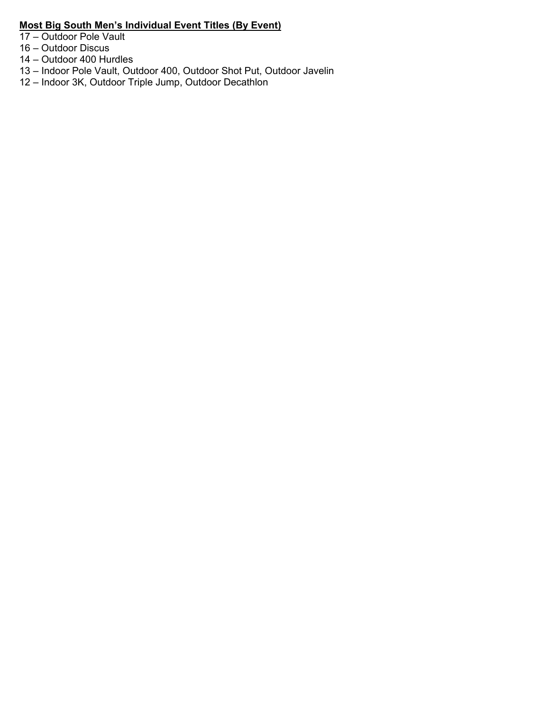## **Most Big South Men's Individual Event Titles (By Event)**

17 – Outdoor Pole Vault

- 16 Outdoor Discus
- 14 Outdoor 400 Hurdles
- 13 Indoor Pole Vault, Outdoor 400, Outdoor Shot Put, Outdoor Javelin
- 12 Indoor 3K, Outdoor Triple Jump, Outdoor Decathlon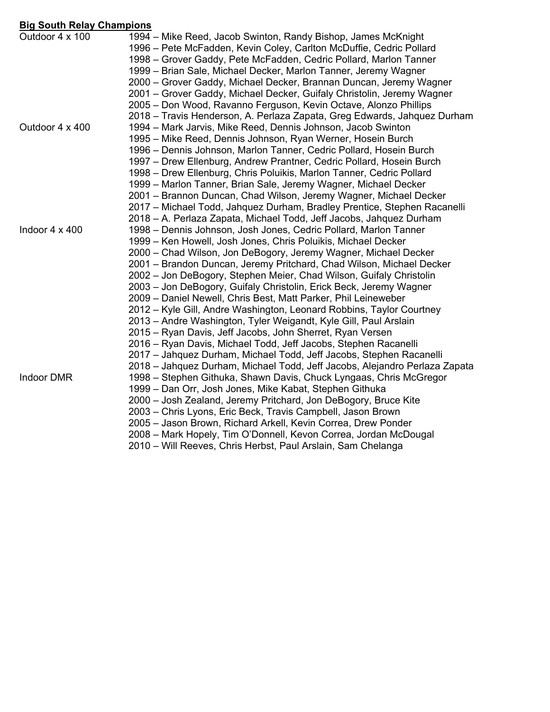## **Big South Relay Champions**

| <u>Uly Juuli Relay Ullailipiulis</u> |                                                                                                                                                                                                                                                                                                                                                    |
|--------------------------------------|----------------------------------------------------------------------------------------------------------------------------------------------------------------------------------------------------------------------------------------------------------------------------------------------------------------------------------------------------|
| Outdoor 4 x 100                      | 1994 – Mike Reed, Jacob Swinton, Randy Bishop, James McKnight<br>1996 – Pete McFadden, Kevin Coley, Carlton McDuffie, Cedric Pollard<br>1998 – Grover Gaddy, Pete McFadden, Cedric Pollard, Marlon Tanner<br>1999 – Brian Sale, Michael Decker, Marlon Tanner, Jeremy Wagner<br>2000 – Grover Gaddy, Michael Decker, Brannan Duncan, Jeremy Wagner |
|                                      | 2001 – Grover Gaddy, Michael Decker, Guifaly Christolin, Jeremy Wagner                                                                                                                                                                                                                                                                             |
|                                      | 2005 - Don Wood, Ravanno Ferguson, Kevin Octave, Alonzo Phillips                                                                                                                                                                                                                                                                                   |
|                                      | 2018 – Travis Henderson, A. Perlaza Zapata, Greg Edwards, Jahquez Durham                                                                                                                                                                                                                                                                           |
| Outdoor 4 x 400                      | 1994 – Mark Jarvis, Mike Reed, Dennis Johnson, Jacob Swinton                                                                                                                                                                                                                                                                                       |
|                                      | 1995 – Mike Reed, Dennis Johnson, Ryan Werner, Hosein Burch                                                                                                                                                                                                                                                                                        |
|                                      | 1996 – Dennis Johnson, Marlon Tanner, Cedric Pollard, Hosein Burch                                                                                                                                                                                                                                                                                 |
|                                      | 1997 – Drew Ellenburg, Andrew Prantner, Cedric Pollard, Hosein Burch                                                                                                                                                                                                                                                                               |
|                                      | 1998 – Drew Ellenburg, Chris Poluikis, Marlon Tanner, Cedric Pollard                                                                                                                                                                                                                                                                               |
|                                      | 1999 – Marlon Tanner, Brian Sale, Jeremy Wagner, Michael Decker                                                                                                                                                                                                                                                                                    |
|                                      | 2001 – Brannon Duncan, Chad Wilson, Jeremy Wagner, Michael Decker<br>2017 – Michael Todd, Jahquez Durham, Bradley Prentice, Stephen Racanelli                                                                                                                                                                                                      |
|                                      | 2018 - A. Perlaza Zapata, Michael Todd, Jeff Jacobs, Jahquez Durham                                                                                                                                                                                                                                                                                |
| Indoor $4 \times 400$                | 1998 – Dennis Johnson, Josh Jones, Cedric Pollard, Marlon Tanner                                                                                                                                                                                                                                                                                   |
|                                      | 1999 – Ken Howell, Josh Jones, Chris Poluikis, Michael Decker                                                                                                                                                                                                                                                                                      |
|                                      | 2000 – Chad Wilson, Jon DeBogory, Jeremy Wagner, Michael Decker                                                                                                                                                                                                                                                                                    |
|                                      | 2001 - Brandon Duncan, Jeremy Pritchard, Chad Wilson, Michael Decker                                                                                                                                                                                                                                                                               |
|                                      | 2002 - Jon DeBogory, Stephen Meier, Chad Wilson, Guifaly Christolin                                                                                                                                                                                                                                                                                |
|                                      | 2003 – Jon DeBogory, Guifaly Christolin, Erick Beck, Jeremy Wagner                                                                                                                                                                                                                                                                                 |
|                                      | 2009 – Daniel Newell, Chris Best, Matt Parker, Phil Leineweber                                                                                                                                                                                                                                                                                     |
|                                      | 2012 – Kyle Gill, Andre Washington, Leonard Robbins, Taylor Courtney                                                                                                                                                                                                                                                                               |
|                                      | 2013 - Andre Washington, Tyler Weigandt, Kyle Gill, Paul Arslain                                                                                                                                                                                                                                                                                   |
|                                      | 2015 – Ryan Davis, Jeff Jacobs, John Sherret, Ryan Versen                                                                                                                                                                                                                                                                                          |
|                                      | 2016 - Ryan Davis, Michael Todd, Jeff Jacobs, Stephen Racanelli                                                                                                                                                                                                                                                                                    |
|                                      | 2017 - Jahquez Durham, Michael Todd, Jeff Jacobs, Stephen Racanelli                                                                                                                                                                                                                                                                                |
|                                      | 2018 – Jahquez Durham, Michael Todd, Jeff Jacobs, Alejandro Perlaza Zapata                                                                                                                                                                                                                                                                         |
| <b>Indoor DMR</b>                    | 1998 – Stephen Githuka, Shawn Davis, Chuck Lyngaas, Chris McGregor                                                                                                                                                                                                                                                                                 |
|                                      | 1999 – Dan Orr, Josh Jones, Mike Kabat, Stephen Githuka                                                                                                                                                                                                                                                                                            |
|                                      | 2000 - Josh Zealand, Jeremy Pritchard, Jon DeBogory, Bruce Kite                                                                                                                                                                                                                                                                                    |
|                                      | 2003 – Chris Lyons, Eric Beck, Travis Campbell, Jason Brown                                                                                                                                                                                                                                                                                        |
|                                      | 2005 - Jason Brown, Richard Arkell, Kevin Correa, Drew Ponder                                                                                                                                                                                                                                                                                      |
|                                      | 2008 - Mark Hopely, Tim O'Donnell, Kevon Correa, Jordan McDougal                                                                                                                                                                                                                                                                                   |
|                                      | 2010 – Will Reeves, Chris Herbst, Paul Arslain, Sam Chelanga                                                                                                                                                                                                                                                                                       |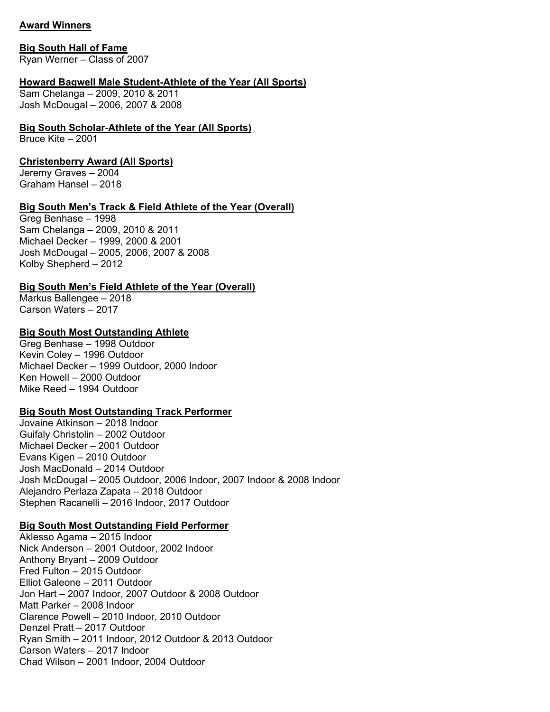## **Award Winners**

#### **Big South Hall of Fame**

Ryan Werner – Class of 2007

### **Howard Bagwell Male Student-Athlete of the Year (All Sports)**

Sam Chelanga – 2009, 2010 & 2011 Josh McDougal – 2006, 2007 & 2008

### **Big South Scholar-Athlete of the Year (All Sports)**

Bruce Kite – 2001

### **Christenberry Award (All Sports)**

Jeremy Graves – 2004 Graham Hansel – 2018

### **Big South Men's Track & Field Athlete of the Year (Overall)**

Greg Benhase – 1998 Sam Chelanga – 2009, 2010 & 2011 Michael Decker – 1999, 2000 & 2001 Josh McDougal – 2005, 2006, 2007 & 2008 Kolby Shepherd – 2012

## **Big South Men's Field Athlete of the Year (Overall)**

Markus Ballengee – 2018 Carson Waters – 2017

### **Big South Most Outstanding Athlete**

Greg Benhase – 1998 Outdoor Kevin Coley – 1996 Outdoor Michael Decker – 1999 Outdoor, 2000 Indoor Ken Howell – 2000 Outdoor Mike Reed – 1994 Outdoor

## **Big South Most Outstanding Track Performer**

Jovaine Atkinson – 2018 Indoor Guifaly Christolin – 2002 Outdoor Michael Decker – 2001 Outdoor Evans Kigen – 2010 Outdoor Josh MacDonald – 2014 Outdoor Josh McDougal – 2005 Outdoor, 2006 Indoor, 2007 Indoor & 2008 Indoor Alejandro Perlaza Zapata – 2018 Outdoor Stephen Racanelli – 2016 Indoor, 2017 Outdoor

## **Big South Most Outstanding Field Performer**

Aklesso Agama – 2015 Indoor Nick Anderson – 2001 Outdoor, 2002 Indoor Anthony Bryant – 2009 Outdoor Fred Fulton – 2015 Outdoor Elliot Galeone – 2011 Outdoor Jon Hart – 2007 Indoor, 2007 Outdoor & 2008 Outdoor Matt Parker – 2008 Indoor Clarence Powell – 2010 Indoor, 2010 Outdoor Denzel Pratt – 2017 Outdoor Ryan Smith – 2011 Indoor, 2012 Outdoor & 2013 Outdoor Carson Waters – 2017 Indoor Chad Wilson – 2001 Indoor, 2004 Outdoor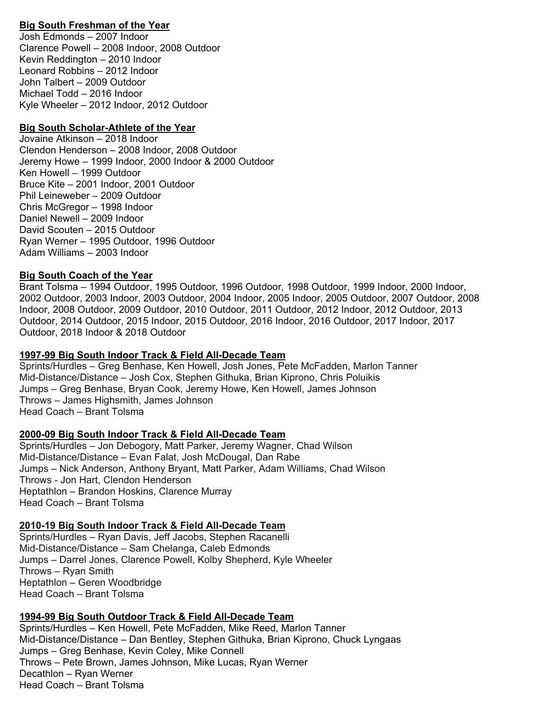## **Big South Freshman of the Year**

Josh Edmonds – 2007 Indoor Clarence Powell – 2008 Indoor, 2008 Outdoor Kevin Reddington – 2010 Indoor Leonard Robbins – 2012 Indoor John Talbert – 2009 Outdoor Michael Todd – 2016 Indoor Kyle Wheeler – 2012 Indoor, 2012 Outdoor

## **Big South Scholar-Athlete of the Year**

Jovaine Atkinson – 2018 Indoor Clendon Henderson – 2008 Indoor, 2008 Outdoor Jeremy Howe – 1999 Indoor, 2000 Indoor & 2000 Outdoor Ken Howell – 1999 Outdoor Bruce Kite – 2001 Indoor, 2001 Outdoor Phil Leineweber – 2009 Outdoor Chris McGregor – 1998 Indoor Daniel Newell – 2009 Indoor David Scouten – 2015 Outdoor Ryan Werner – 1995 Outdoor, 1996 Outdoor Adam Williams – 2003 Indoor

## **Big South Coach of the Year**

Brant Tolsma – 1994 Outdoor, 1995 Outdoor, 1996 Outdoor, 1998 Outdoor, 1999 Indoor, 2000 Indoor, 2002 Outdoor, 2003 Indoor, 2003 Outdoor, 2004 Indoor, 2005 Indoor, 2005 Outdoor, 2007 Outdoor, 2008 Indoor, 2008 Outdoor, 2009 Outdoor, 2010 Outdoor, 2011 Outdoor, 2012 Indoor, 2012 Outdoor, 2013 Outdoor, 2014 Outdoor, 2015 Indoor, 2015 Outdoor, 2016 Indoor, 2016 Outdoor, 2017 Indoor, 2017 Outdoor, 2018 Indoor & 2018 Outdoor

## **1997-99 Big South Indoor Track & Field All-Decade Team**

Sprints/Hurdles – Greg Benhase, Ken Howell, Josh Jones, Pete McFadden, Marlon Tanner Mid-Distance/Distance – Josh Cox, Stephen Githuka, Brian Kiprono, Chris Poluikis Jumps – Greg Benhase, Bryan Cook, Jeremy Howe, Ken Howell, James Johnson Throws – James Highsmith, James Johnson Head Coach – Brant Tolsma

## **2000-09 Big South Indoor Track & Field All-Decade Team**

Sprints/Hurdles – Jon Debogory, Matt Parker, Jeremy Wagner, Chad Wilson Mid-Distance/Distance – Evan Falat, Josh McDougal, Dan Rabe Jumps – Nick Anderson, Anthony Bryant, Matt Parker, Adam Williams, Chad Wilson Throws - Jon Hart, Clendon Henderson Heptathlon – Brandon Hoskins, Clarence Murray Head Coach – Brant Tolsma

## **2010-19 Big South Indoor Track & Field All-Decade Team**

Sprints/Hurdles – Ryan Davis, Jeff Jacobs, Stephen Racanelli Mid-Distance/Distance – Sam Chelanga, Caleb Edmonds Jumps – Darrel Jones, Clarence Powell, Kolby Shepherd, Kyle Wheeler Throws – Ryan Smith Heptathlon – Geren Woodbridge Head Coach – Brant Tolsma

# **1994-99 Big South Outdoor Track & Field All-Decade Team**

Sprints/Hurdles – Ken Howell, Pete McFadden, Mike Reed, Marlon Tanner Mid-Distance/Distance – Dan Bentley, Stephen Githuka, Brian Kiprono, Chuck Lyngaas Jumps – Greg Benhase, Kevin Coley, Mike Connell Throws – Pete Brown, James Johnson, Mike Lucas, Ryan Werner Decathlon – Ryan Werner Head Coach – Brant Tolsma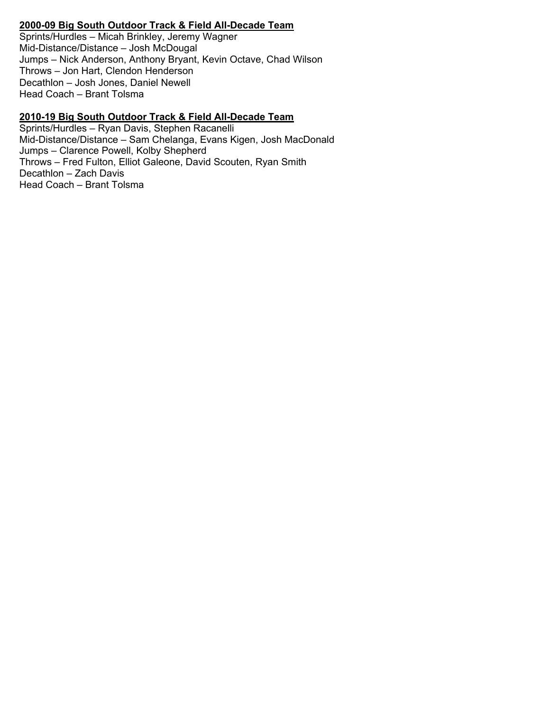## **2000-09 Big South Outdoor Track & Field All-Decade Team**

Sprints/Hurdles – Micah Brinkley, Jeremy Wagner Mid-Distance/Distance – Josh McDougal Jumps – Nick Anderson, Anthony Bryant, Kevin Octave, Chad Wilson Throws – Jon Hart, Clendon Henderson Decathlon – Josh Jones, Daniel Newell Head Coach – Brant Tolsma

## **2010-19 Big South Outdoor Track & Field All-Decade Team**

Sprints/Hurdles – Ryan Davis, Stephen Racanelli Mid-Distance/Distance – Sam Chelanga, Evans Kigen, Josh MacDonald Jumps – Clarence Powell, Kolby Shepherd Throws – Fred Fulton, Elliot Galeone, David Scouten, Ryan Smith Decathlon – Zach Davis Head Coach – Brant Tolsma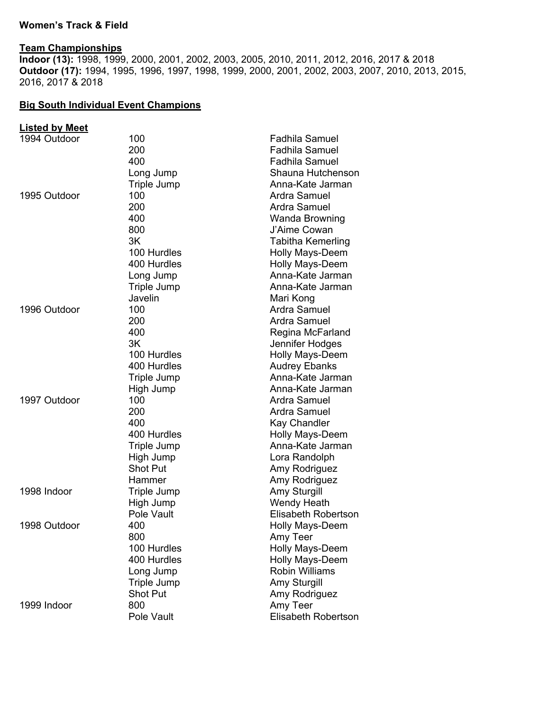### **Women's Track & Field**

#### **Team Championships**

**Indoor (13):** 1998, 1999, 2000, 2001, 2002, 2003, 2005, 2010, 2011, 2012, 2016, 2017 & 2018 **Outdoor (17):** 1994, 1995, 1996, 1997, 1998, 1999, 2000, 2001, 2002, 2003, 2007, 2010, 2013, 2015, 2016, 2017 & 2018

#### **Big South Individual Event Champions**

#### **Listed by Meet**  100 **Fadhila Samuel**  200 Fadhila Samuel 400 Fadhila Samuel Long Jump Shauna Hutchenson Triple Jump **Anna-Kate Jarman** 1995 Outdoor 100 and 100 and 100 and 1995 Outdoor 200 **Ardra Samuel**  400 Wanda Browning 800 J'Aime Cowan 3K Tabitha Kemerling 100 Hurdles Holly Mays-Deem 400 Hurdles **Holly Mays-Deem** Long Jump **Anna-Kate Jarman** Triple Jump **Anna-Kate Jarman** Javelin Mari Kong 1996 Outdoor 100 and 100 and 100 and 100 and 100 and 100 and 100 and 100 and 100 and 100 and 100 and 100 and 1 200 Ardra Samuel 400 Regina McFarland 3K Jennifer Hodges 100 Hurdles **Holly Mays-Deem** 400 Hurdles **Audrey Ebanks** Triple Jump **Anna-Kate Jarman** High Jump **Anna-Kate Jarman** 1997 Outdoor 100 and 100 and 100 and 100 and 100 and 100 and 100 and 110 and 121 and 121 and 121 and 121 and 1 200 **Ardra Samuel**  400 Kay Chandler 400 Hurdles **Holly Mays-Deem** Triple Jump **Anna-Kate Jarman**  High Jump Lora Randolph Shot Put **Amy Rodriguez** Hammer **Amy Rodriguez** 1998 Indoor Triple Jump **Amy Sturgill** High Jump Wendy Heath Pole Vault **Elisabeth Robertson** 1998 Outdoor **400 And Account Account Account Account Account Account Account Account Account Account Account Account Account Account Account Account Account Account Account Account Account Account Account Account Accoun** 800 Amy Teer 100 Hurdles **Holly Mays-Deem** 400 Hurdles **Holly Mays-Deem** Long Jump Robin Williams Triple Jump **Amy Sturgill** Shot Put **Amy Rodriguez** 1999 Indoor 800 Amy Teer **Elisabeth Robertson**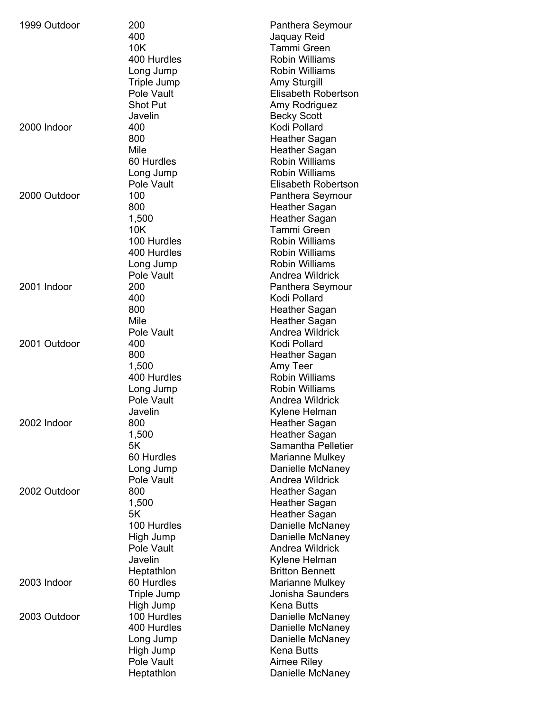| 1999 Outdoor | 200                | <b>Panthera Seymour</b> |
|--------------|--------------------|-------------------------|
|              | 400                | Jaquay Reid             |
|              | 10K                | <b>Tammi Green</b>      |
|              | 400 Hurdles        | <b>Robin Williams</b>   |
|              | Long Jump          | <b>Robin Williams</b>   |
|              | <b>Triple Jump</b> | <b>Amy Sturgill</b>     |
|              | Pole Vault         | Elisabeth Robertson     |
|              | <b>Shot Put</b>    | Amy Rodriguez           |
|              | Javelin            | <b>Becky Scott</b>      |
| 2000 Indoor  | 400                | Kodi Pollard            |
|              |                    |                         |
|              | 800                | <b>Heather Sagan</b>    |
|              | Mile               | Heather Sagan           |
|              | 60 Hurdles         | <b>Robin Williams</b>   |
|              | Long Jump          | <b>Robin Williams</b>   |
|              | Pole Vault         | Elisabeth Robertson     |
| 2000 Outdoor | 100                | Panthera Seymour        |
|              | 800                | <b>Heather Sagan</b>    |
|              | 1,500              | <b>Heather Sagan</b>    |
|              | 10K                | <b>Tammi Green</b>      |
|              | 100 Hurdles        | <b>Robin Williams</b>   |
|              | 400 Hurdles        | <b>Robin Williams</b>   |
|              | Long Jump          | <b>Robin Williams</b>   |
|              | Pole Vault         | Andrea Wildrick         |
| 2001 Indoor  | 200                | Panthera Seymour        |
|              | 400                | Kodi Pollard            |
|              | 800                | <b>Heather Sagan</b>    |
|              | Mile               | <b>Heather Sagan</b>    |
|              | Pole Vault         | <b>Andrea Wildrick</b>  |
| 2001 Outdoor | 400                | Kodi Pollard            |
|              | 800                | Heather Sagan           |
|              | 1,500              | Amy Teer                |
|              | 400 Hurdles        | <b>Robin Williams</b>   |
|              |                    | <b>Robin Williams</b>   |
|              | Long Jump          |                         |
|              | Pole Vault         | Andrea Wildrick         |
|              | Javelin            | Kylene Helman           |
| 2002 Indoor  | 800                | <b>Heather Sagan</b>    |
|              | 1,500              | <b>Heather Sagan</b>    |
|              | 5K                 | Samantha Pelletier      |
|              | 60 Hurdles         | Marianne Mulkey         |
|              | Long Jump          | Danielle McNaney        |
|              | Pole Vault         | Andrea Wildrick         |
| 2002 Outdoor | 800                | Heather Sagan           |
|              | 1,500              | <b>Heather Sagan</b>    |
|              | 5K                 | <b>Heather Sagan</b>    |
|              | 100 Hurdles        | Danielle McNaney        |
|              | High Jump          | Danielle McNaney        |
|              | Pole Vault         | <b>Andrea Wildrick</b>  |
|              | Javelin            | Kylene Helman           |
|              | Heptathlon         | <b>Britton Bennett</b>  |
| 2003 Indoor  | 60 Hurdles         | Marianne Mulkey         |
|              | Triple Jump        | Jonisha Saunders        |
|              | High Jump          | <b>Kena Butts</b>       |
| 2003 Outdoor | 100 Hurdles        | Danielle McNaney        |
|              | 400 Hurdles        | Danielle McNaney        |
|              | Long Jump          | Danielle McNaney        |
|              |                    | <b>Kena Butts</b>       |
|              | High Jump          |                         |
|              | Pole Vault         | Aimee Riley             |
|              | Heptathlon         | Danielle McNaney        |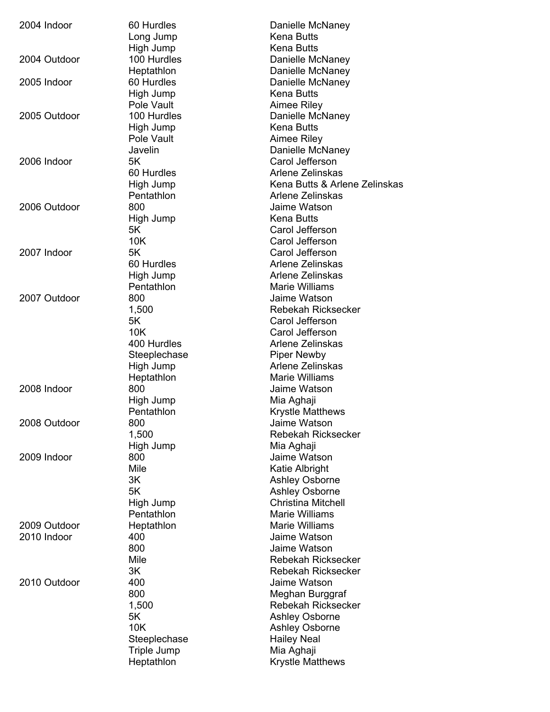| 2004 Indoor                 | 60 Hurdles<br>Long Jump<br>High Jump                                                 | Danielle McNaney<br>Kena Butts<br><b>Kena Butts</b>                                                                                                                    |
|-----------------------------|--------------------------------------------------------------------------------------|------------------------------------------------------------------------------------------------------------------------------------------------------------------------|
| 2004 Outdoor                | 100 Hurdles<br>Heptathlon                                                            | Danielle McNaney<br>Danielle McNaney                                                                                                                                   |
| 2005 Indoor                 | 60 Hurdles<br>High Jump<br>Pole Vault                                                | Danielle McNaney<br>Kena Butts<br>Aimee Riley                                                                                                                          |
| 2005 Outdoor                | 100 Hurdles<br>High Jump<br>Pole Vault<br>Javelin                                    | Danielle McNaney<br><b>Kena Butts</b><br>Aimee Riley<br>Danielle McNaney                                                                                               |
| 2006 Indoor                 | 5K<br>60 Hurdles<br>High Jump<br>Pentathlon                                          | Carol Jefferson<br>Arlene Zelinskas<br>Kena Butts & Arlene Zelinskas<br>Arlene Zelinskas                                                                               |
| 2006 Outdoor                | 800<br>High Jump<br>5K                                                               | Jaime Watson<br><b>Kena Butts</b><br>Carol Jefferson                                                                                                                   |
| 2007 Indoor                 | 10K<br>5K<br>60 Hurdles<br>High Jump                                                 | Carol Jefferson<br>Carol Jefferson<br>Arlene Zelinskas<br>Arlene Zelinskas                                                                                             |
| 2007 Outdoor                | Pentathlon<br>800<br>1,500<br>5K                                                     | <b>Marie Williams</b><br>Jaime Watson<br><b>Rebekah Ricksecker</b><br>Carol Jefferson                                                                                  |
|                             | 10K<br>400 Hurdles<br>Steeplechase<br>High Jump<br>Heptathlon                        | Carol Jefferson<br>Arlene Zelinskas<br><b>Piper Newby</b><br>Arlene Zelinskas<br>Marie Williams                                                                        |
| 2008 Indoor                 | 800<br>High Jump<br>Pentathlon                                                       | Jaime Watson<br>Mia Aghaji<br><b>Krystle Matthews</b>                                                                                                                  |
| 2008 Outdoor                | 800<br>1,500<br>High Jump                                                            | Jaime Watson<br><b>Rebekah Ricksecker</b><br>Mia Aghaji                                                                                                                |
| 2009 Indoor                 | 800<br>Mile<br>3K<br>5K<br>High Jump<br>Pentathlon                                   | Jaime Watson<br>Katie Albright<br><b>Ashley Osborne</b><br><b>Ashley Osborne</b><br>Christina Mitchell<br>Marie Williams                                               |
| 2009 Outdoor<br>2010 Indoor | Heptathlon<br>400<br>800<br>Mile<br>3K                                               | <b>Marie Williams</b><br>Jaime Watson<br>Jaime Watson<br><b>Rebekah Ricksecker</b><br><b>Rebekah Ricksecker</b>                                                        |
| 2010 Outdoor                | 400<br>800<br>1,500<br>5K<br>10K<br>Steeplechase<br><b>Triple Jump</b><br>Heptathlon | Jaime Watson<br>Meghan Burggraf<br><b>Rebekah Ricksecker</b><br>Ashley Osborne<br><b>Ashley Osborne</b><br><b>Hailey Neal</b><br>Mia Aghaji<br><b>Krystle Matthews</b> |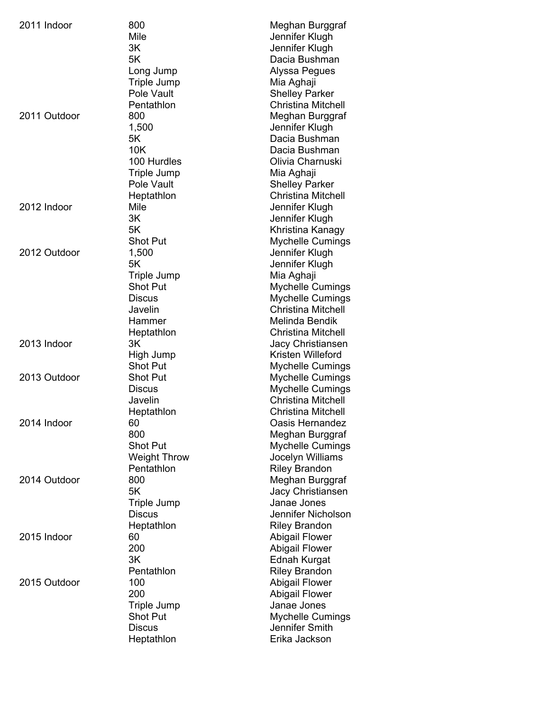| 2011 Indoor  | 800                 | Meghan Burggraf           |
|--------------|---------------------|---------------------------|
|              | Mile                | Jennifer Klugh            |
|              | 3K                  | Jennifer Klugh            |
|              | 5K                  | Dacia Bushman             |
|              | Long Jump           | Alyssa Pegues             |
|              | <b>Triple Jump</b>  | Mia Aghaji                |
|              | Pole Vault          | <b>Shelley Parker</b>     |
|              | Pentathlon          | <b>Christina Mitchell</b> |
| 2011 Outdoor | 800                 | Meghan Burggraf           |
|              | 1,500               | Jennifer Klugh            |
|              | 5K                  | Dacia Bushman             |
|              | 10K                 | Dacia Bushman             |
|              | 100 Hurdles         | Olivia Charnuski          |
|              | <b>Triple Jump</b>  | Mia Aghaji                |
|              | Pole Vault          | <b>Shelley Parker</b>     |
|              | Heptathlon          | <b>Christina Mitchell</b> |
| 2012 Indoor  | Mile                | Jennifer Klugh            |
|              | 3K                  | Jennifer Klugh            |
|              | 5K                  | Khristina Kanagy          |
|              | Shot Put            | Mychelle Cumings          |
| 2012 Outdoor | 1,500               | Jennifer Klugh            |
|              | 5Κ                  | Jennifer Klugh            |
|              | <b>Triple Jump</b>  | Mia Aghaji                |
|              | <b>Shot Put</b>     | Mychelle Cumings          |
|              | <b>Discus</b>       | <b>Mychelle Cumings</b>   |
|              | Javelin             | <b>Christina Mitchell</b> |
|              | Hammer              | Melinda Bendik            |
|              | Heptathlon          | <b>Christina Mitchell</b> |
| 2013 Indoor  | 3K                  | Jacy Christiansen         |
|              | High Jump           | Kristen Willeford         |
|              | Shot Put            | <b>Mychelle Cumings</b>   |
| 2013 Outdoor | <b>Shot Put</b>     | <b>Mychelle Cumings</b>   |
|              | <b>Discus</b>       | <b>Mychelle Cumings</b>   |
|              | Javelin             | <b>Christina Mitchell</b> |
|              | Heptathlon          | <b>Christina Mitchell</b> |
| 2014 Indoor  | 60                  | <b>Oasis Hernandez</b>    |
|              | 800                 | Meghan Burggraf           |
|              | Shot Put            | Mychelle Cumings          |
|              | <b>Weight Throw</b> | Jocelyn Williams          |
|              | Pentathlon          | <b>Riley Brandon</b>      |
| 2014 Outdoor | 800                 | Meghan Burggraf           |
|              | 5K                  | Jacy Christiansen         |
|              | <b>Triple Jump</b>  | Janae Jones               |
|              | <b>Discus</b>       | Jennifer Nicholson        |
|              | Heptathlon          | <b>Riley Brandon</b>      |
| 2015 Indoor  | 60                  | <b>Abigail Flower</b>     |
|              | 200                 | <b>Abigail Flower</b>     |
|              | 3K                  | <b>Ednah Kurgat</b>       |
|              | Pentathlon          | <b>Riley Brandon</b>      |
| 2015 Outdoor | 100                 | <b>Abigail Flower</b>     |
|              | 200                 | <b>Abigail Flower</b>     |
|              | <b>Triple Jump</b>  | Janae Jones               |
|              | <b>Shot Put</b>     | <b>Mychelle Cumings</b>   |
|              | <b>Discus</b>       | Jennifer Smith            |
|              | Heptathlon          | Erika Jackson             |
|              |                     |                           |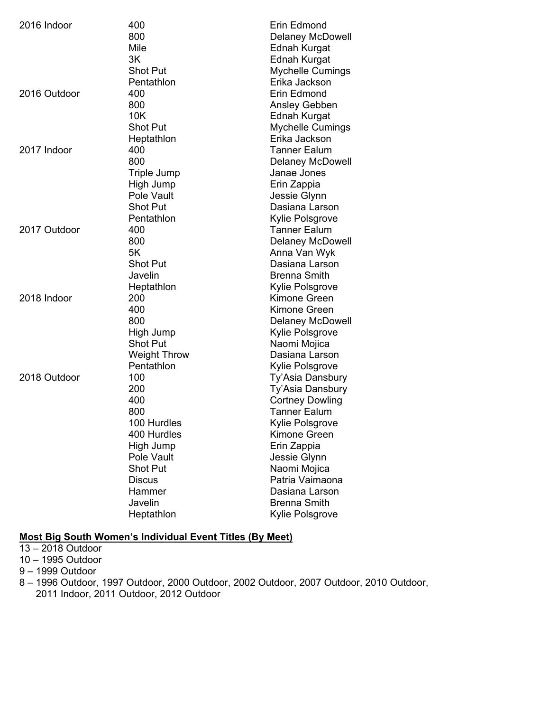| 2016 Indoor  | 400<br>800<br>Mile<br>3K                                                                                                                                 | Erin Edmond<br><b>Delaney McDowell</b><br>Ednah Kurgat<br>Ednah Kurgat                                                                                                                                                                                 |
|--------------|----------------------------------------------------------------------------------------------------------------------------------------------------------|--------------------------------------------------------------------------------------------------------------------------------------------------------------------------------------------------------------------------------------------------------|
| 2016 Outdoor | <b>Shot Put</b><br>Pentathlon<br>400<br>800                                                                                                              | <b>Mychelle Cumings</b><br>Erika Jackson<br>Erin Edmond<br>Ansley Gebben                                                                                                                                                                               |
| 2017 Indoor  | 10K<br><b>Shot Put</b><br>Heptathlon<br>400                                                                                                              | <b>Ednah Kurgat</b><br><b>Mychelle Cumings</b><br>Erika Jackson<br><b>Tanner Ealum</b>                                                                                                                                                                 |
|              | 800<br>Triple Jump<br>High Jump<br>Pole Vault<br><b>Shot Put</b><br>Pentathlon                                                                           | <b>Delaney McDowell</b><br>Janae Jones<br>Erin Zappia<br>Jessie Glynn<br>Dasiana Larson<br>Kylie Polsgrove                                                                                                                                             |
| 2017 Outdoor | 400<br>800<br>5K<br>Shot Put<br>Javelin<br>Heptathlon                                                                                                    | Tanner Ealum<br><b>Delaney McDowell</b><br>Anna Van Wyk<br>Dasiana Larson<br><b>Brenna Smith</b><br>Kylie Polsgrove                                                                                                                                    |
| 2018 Indoor  | 200<br>400<br>800<br>High Jump<br><b>Shot Put</b><br><b>Weight Throw</b><br>Pentathlon                                                                   | Kimone Green<br><b>Kimone Green</b><br><b>Delaney McDowell</b><br>Kylie Polsgrove<br>Naomi Mojica<br>Dasiana Larson<br>Kylie Polsgrove                                                                                                                 |
| 2018 Outdoor | 100<br>200<br>400<br>800<br>100 Hurdles<br>400 Hurdles<br>High Jump<br>Pole Vault<br><b>Shot Put</b><br><b>Discus</b><br>Hammer<br>Javelin<br>Heptathlon | Ty'Asia Dansbury<br>Ty'Asia Dansbury<br><b>Cortney Dowling</b><br><b>Tanner Ealum</b><br>Kylie Polsgrove<br>Kimone Green<br>Erin Zappia<br>Jessie Glynn<br>Naomi Mojica<br>Patria Vaimaona<br>Dasiana Larson<br><b>Brenna Smith</b><br>Kylie Polsgrove |

## **Most Big South Women's Individual Event Titles (By Meet)**

13 – 2018 Outdoor

10 – 1995 Outdoor

9 – 1999 Outdoor

8 – 1996 Outdoor, 1997 Outdoor, 2000 Outdoor, 2002 Outdoor, 2007 Outdoor, 2010 Outdoor, 2011 Indoor, 2011 Outdoor, 2012 Outdoor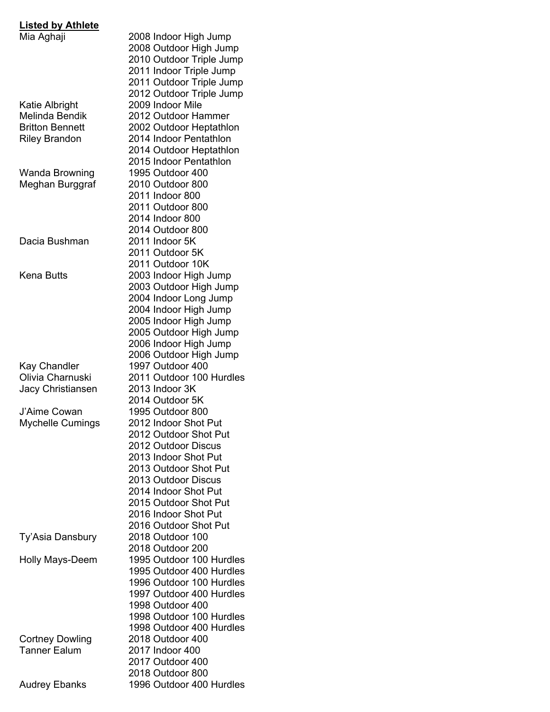| <b>Listed by Athlete</b> |                                              |
|--------------------------|----------------------------------------------|
| Mia Aghaji               | 2008 Indoor High Jump                        |
|                          | 2008 Outdoor High Jump                       |
|                          | 2010 Outdoor Triple Jump                     |
|                          | 2011 Indoor Triple Jump                      |
|                          | 2011 Outdoor Triple Jump                     |
|                          | 2012 Outdoor Triple Jump                     |
| Katie Albright           | 2009 Indoor Mile                             |
| <b>Melinda Bendik</b>    | 2012 Outdoor Hammer                          |
| <b>Britton Bennett</b>   | 2002 Outdoor Heptathlon                      |
| <b>Riley Brandon</b>     | 2014 Indoor Pentathlon                       |
|                          | 2014 Outdoor Heptathlon                      |
|                          | 2015 Indoor Pentathlon                       |
|                          | 1995 Outdoor 400                             |
| Wanda Browning           |                                              |
| Meghan Burggraf          | 2010 Outdoor 800                             |
|                          | 2011 Indoor 800                              |
|                          | 2011 Outdoor 800                             |
|                          | 2014 Indoor 800                              |
|                          | 2014 Outdoor 800                             |
| Dacia Bushman            | 2011 Indoor 5K                               |
|                          | 2011 Outdoor 5K                              |
|                          | 2011 Outdoor 10K                             |
| Kena Butts               | 2003 Indoor High Jump                        |
|                          | 2003 Outdoor High Jump                       |
|                          | 2004 Indoor Long Jump                        |
|                          | 2004 Indoor High Jump                        |
|                          | 2005 Indoor High Jump                        |
|                          | 2005 Outdoor High Jump                       |
|                          | 2006 Indoor High Jump                        |
|                          | 2006 Outdoor High Jump                       |
| <b>Kay Chandler</b>      | 1997 Outdoor 400                             |
| Olivia Charnuski         | 2011 Outdoor 100 Hurdles                     |
| Jacy Christiansen        | 2013 Indoor 3K                               |
|                          | 2014 Outdoor 5K                              |
| J'Aime Cowan             | 1995 Outdoor 800                             |
|                          | 2012 Indoor Shot Put                         |
| <b>Mychelle Cumings</b>  | 2012 Outdoor Shot Put                        |
|                          |                                              |
|                          | 2012 Outdoor Discus                          |
|                          | 2013 Indoor Shot Put                         |
|                          | 2013 Outdoor Shot Put                        |
|                          | 2013 Outdoor Discus                          |
|                          | 2014 Indoor Shot Put                         |
|                          | 2015 Outdoor Shot Put                        |
|                          | 2016 Indoor Shot Put                         |
|                          | 2016 Outdoor Shot Put                        |
| Ty'Asia Dansbury         | 2018 Outdoor 100                             |
|                          | 2018 Outdoor 200                             |
| <b>Holly Mays-Deem</b>   | 1995 Outdoor 100 Hurdles                     |
|                          | 1995 Outdoor 400 Hurdles                     |
|                          | 1996 Outdoor 100 Hurdles                     |
|                          | 1997 Outdoor 400 Hurdles                     |
|                          | 1998 Outdoor 400                             |
|                          | 1998 Outdoor 100 Hurdles                     |
|                          | 1998 Outdoor 400 Hurdles                     |
| <b>Cortney Dowling</b>   | 2018 Outdoor 400                             |
|                          |                                              |
|                          |                                              |
| <b>Tanner Ealum</b>      | 2017 Indoor 400                              |
|                          | 2017 Outdoor 400                             |
| <b>Audrey Ebanks</b>     | 2018 Outdoor 800<br>1996 Outdoor 400 Hurdles |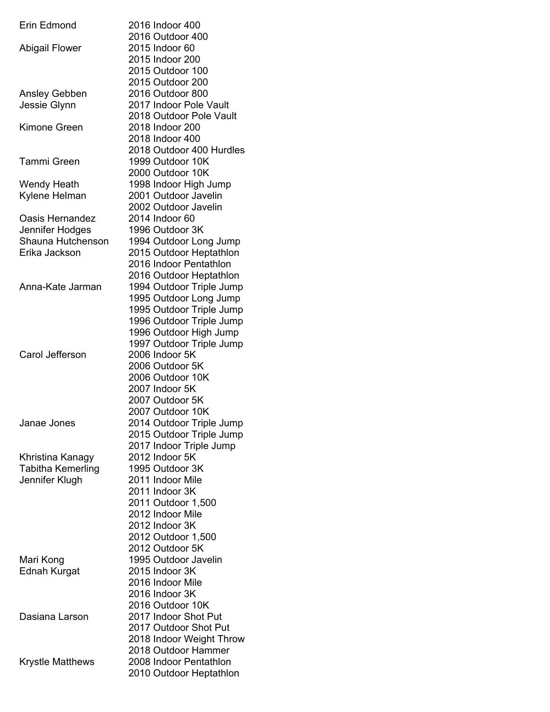| Erin Edmond             | 2016 Indoor 400<br>2016 Outdoor 400 |
|-------------------------|-------------------------------------|
| Abigail Flower          | 2015 Indoor 60                      |
|                         | 2015 Indoor 200                     |
|                         | 2015 Outdoor 100                    |
|                         | 2015 Outdoor 200                    |
| Ansley Gebben           | 2016 Outdoor 800                    |
| Jessie Glynn            | 2017 Indoor Pole Vault              |
|                         | 2018 Outdoor Pole Vault             |
| Kimone Green            | 2018 Indoor 200                     |
|                         | 2018 Indoor 400                     |
|                         | 2018 Outdoor 400 Hurdles            |
| Tammi Green             | 1999 Outdoor 10K                    |
|                         | 2000 Outdoor 10K                    |
| Wendy Heath             | 1998 Indoor High Jump               |
| Kylene Helman           | 2001 Outdoor Javelin                |
|                         | 2002 Outdoor Javelin                |
| Oasis Hernandez         | 2014 Indoor 60                      |
| Jennifer Hodges         | 1996 Outdoor 3K                     |
| Shauna Hutchenson       | 1994 Outdoor Long Jump              |
| Erika Jackson           | 2015 Outdoor Heptathlon             |
|                         | 2016 Indoor Pentathlon              |
|                         | 2016 Outdoor Heptathlon             |
| Anna-Kate Jarman        | 1994 Outdoor Triple Jump            |
|                         | 1995 Outdoor Long Jump              |
|                         | 1995 Outdoor Triple Jump            |
|                         | 1996 Outdoor Triple Jump            |
|                         | 1996 Outdoor High Jump              |
|                         | 1997 Outdoor Triple Jump            |
| Carol Jefferson         | 2006 Indoor 5K                      |
|                         | 2006 Outdoor 5K<br>2006 Outdoor 10K |
|                         | 2007 Indoor 5K                      |
|                         | 2007 Outdoor 5K                     |
|                         | 2007 Outdoor 10K                    |
| Janae Jones             | 2014 Outdoor Triple Jump            |
|                         | 2015 Outdoor Triple Jump            |
|                         | 2017 Indoor Triple Jump             |
| Khristina Kanagy        | 2012 Indoor 5K                      |
| Tabitha Kemerling       | 1995 Outdoor 3K                     |
| Jennifer Klugh          | 2011 Indoor Mile                    |
|                         | 2011 Indoor 3K                      |
|                         | 2011 Outdoor 1,500                  |
|                         | 2012 Indoor Mile                    |
|                         | 2012 Indoor 3K                      |
|                         | 2012 Outdoor 1,500                  |
|                         | 2012 Outdoor 5K                     |
| Mari Kong               | 1995 Outdoor Javelin                |
| Ednah Kurgat            | 2015 Indoor 3K                      |
|                         | 2016 Indoor Mile                    |
|                         | 2016 Indoor 3K                      |
|                         | 2016 Outdoor 10K                    |
| Dasiana Larson          | 2017 Indoor Shot Put                |
|                         | 2017 Outdoor Shot Put               |
|                         | 2018 Indoor Weight Throw            |
|                         | 2018 Outdoor Hammer                 |
| <b>Krystle Matthews</b> | 2008 Indoor Pentathlon              |
|                         | 2010 Outdoor Heptathlon             |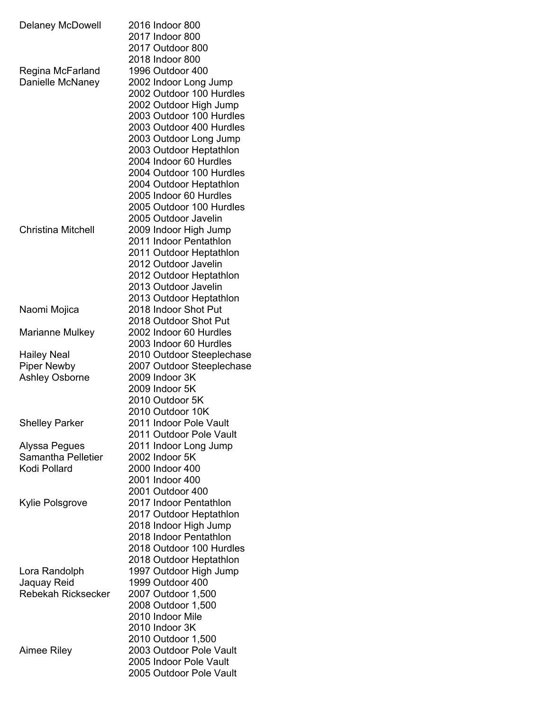| <b>Delaney McDowell</b>   | 2016 Indoor 800                                 |
|---------------------------|-------------------------------------------------|
|                           | 2017 Indoor 800                                 |
|                           | 2017 Outdoor 800                                |
|                           | 2018 Indoor 800                                 |
| Regina McFarland          | 1996 Outdoor 400                                |
| Danielle McNaney          | 2002 Indoor Long Jump                           |
|                           | 2002 Outdoor 100 Hurdles                        |
|                           | 2002 Outdoor High Jump                          |
|                           | 2003 Outdoor 100 Hurdles                        |
|                           | 2003 Outdoor 400 Hurdles                        |
|                           | 2003 Outdoor Long Jump                          |
|                           | 2003 Outdoor Heptathlon                         |
|                           | 2004 Indoor 60 Hurdles                          |
|                           | 2004 Outdoor 100 Hurdles                        |
|                           | 2004 Outdoor Heptathlon                         |
|                           | 2005 Indoor 60 Hurdles                          |
|                           | 2005 Outdoor 100 Hurdles                        |
| <b>Christina Mitchell</b> | 2005 Outdoor Javelin                            |
|                           | 2009 Indoor High Jump<br>2011 Indoor Pentathlon |
|                           | 2011 Outdoor Heptathlon                         |
|                           | 2012 Outdoor Javelin                            |
|                           | 2012 Outdoor Heptathlon                         |
|                           | 2013 Outdoor Javelin                            |
|                           | 2013 Outdoor Heptathlon                         |
| Naomi Mojica              | 2018 Indoor Shot Put                            |
|                           | 2018 Outdoor Shot Put                           |
| Marianne Mulkey           | 2002 Indoor 60 Hurdles                          |
|                           | 2003 Indoor 60 Hurdles                          |
| <b>Hailey Neal</b>        | 2010 Outdoor Steeplechase                       |
| <b>Piper Newby</b>        | 2007 Outdoor Steeplechase                       |
| <b>Ashley Osborne</b>     | 2009 Indoor 3K                                  |
|                           | 2009 Indoor 5K                                  |
|                           | 2010 Outdoor 5K                                 |
|                           | 2010 Outdoor 10K                                |
| <b>Shelley Parker</b>     | 2011 Indoor Pole Vault                          |
|                           | 2011 Outdoor Pole Vault                         |
| Alyssa Pegues             | 2011 Indoor Long Jump                           |
| Samantha Pelletier        | 2002 Indoor 5K                                  |
| Kodi Pollard              | 2000 Indoor 400                                 |
|                           | 2001 Indoor 400                                 |
|                           | 2001 Outdoor 400<br>2017 Indoor Pentathlon      |
| Kylie Polsgrove           | 2017 Outdoor Heptathlon                         |
|                           | 2018 Indoor High Jump                           |
|                           | 2018 Indoor Pentathlon                          |
|                           | 2018 Outdoor 100 Hurdles                        |
|                           | 2018 Outdoor Heptathlon                         |
| Lora Randolph             | 1997 Outdoor High Jump                          |
| Jaquay Reid               | 1999 Outdoor 400                                |
| <b>Rebekah Ricksecker</b> | 2007 Outdoor 1,500                              |
|                           | 2008 Outdoor 1,500                              |
|                           | 2010 Indoor Mile                                |
|                           | 2010 Indoor 3K                                  |
|                           | 2010 Outdoor 1,500                              |
| Aimee Riley               | 2003 Outdoor Pole Vault                         |
|                           | 2005 Indoor Pole Vault                          |
|                           | 2005 Outdoor Pole Vault                         |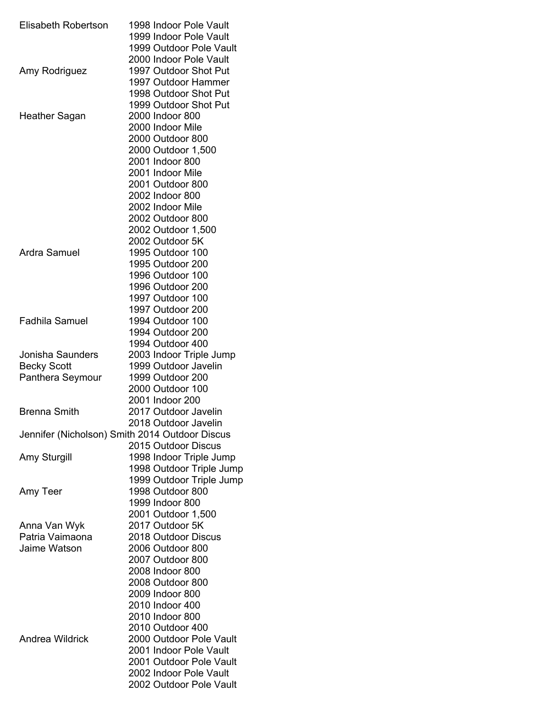| Elisabeth Robertson     | 1998 Indoor Pole Vault<br>1999 Indoor Pole Vault  |
|-------------------------|---------------------------------------------------|
|                         | 1999 Outdoor Pole Vault                           |
|                         | 2000 Indoor Pole Vault                            |
| Amy Rodriguez           | 1997 Outdoor Shot Put                             |
|                         | 1997 Outdoor Hammer                               |
|                         | 1998 Outdoor Shot Put                             |
|                         | 1999 Outdoor Shot Put                             |
| Heather Sagan           | 2000 Indoor 800<br>2000 Indoor Mile               |
|                         | 2000 Outdoor 800                                  |
|                         | 2000 Outdoor 1,500                                |
|                         | 2001 Indoor 800                                   |
|                         | 2001 Indoor Mile                                  |
|                         | 2001 Outdoor 800                                  |
|                         | 2002 Indoor 800                                   |
|                         | 2002 Indoor Mile                                  |
|                         | 2002 Outdoor 800                                  |
|                         | 2002 Outdoor 1,500                                |
|                         | 2002 Outdoor 5K                                   |
| Ardra Samuel            | 1995 Outdoor 100                                  |
|                         | 1995 Outdoor 200                                  |
|                         | 1996 Outdoor 100                                  |
|                         | 1996 Outdoor 200                                  |
|                         | 1997 Outdoor 100                                  |
|                         | 1997 Outdoor 200                                  |
| <b>Fadhila Samuel</b>   | 1994 Outdoor 100                                  |
|                         | 1994 Outdoor 200                                  |
|                         | 1994 Outdoor 400                                  |
| <b>Jonisha Saunders</b> | 2003 Indoor Triple Jump                           |
| <b>Becky Scott</b>      | 1999 Outdoor Javelin                              |
| Panthera Seymour        | 1999 Outdoor 200<br>2000 Outdoor 100              |
|                         | 2001 Indoor 200                                   |
| <b>Brenna Smith</b>     | 2017 Outdoor Javelin                              |
|                         | 2018 Outdoor Javelin                              |
|                         | Jennifer (Nicholson) Smith 2014 Outdoor Discus    |
|                         | 2015 Outdoor Discus                               |
| Amy Sturgill            | 1998 Indoor Triple Jump                           |
|                         | 1998 Outdoor Triple Jump                          |
|                         | 1999 Outdoor Triple Jump                          |
| Amy Teer                | 1998 Outdoor 800                                  |
|                         | 1999 Indoor 800                                   |
|                         | 2001 Outdoor 1,500                                |
| Anna Van Wyk            | 2017 Outdoor 5K                                   |
| Patria Vaimaona         | 2018 Outdoor Discus                               |
| Jaime Watson            | 2006 Outdoor 800                                  |
|                         | 2007 Outdoor 800                                  |
|                         | 2008 Indoor 800                                   |
|                         | 2008 Outdoor 800                                  |
|                         | 2009 Indoor 800                                   |
|                         | 2010 Indoor 400                                   |
|                         | 2010 Indoor 800                                   |
|                         | 2010 Outdoor 400                                  |
| Andrea Wildrick         | 2000 Outdoor Pole Vault                           |
|                         | 2001 Indoor Pole Vault<br>2001 Outdoor Pole Vault |
|                         | 2002 Indoor Pole Vault                            |
|                         | 2002 Outdoor Pole Vault                           |
|                         |                                                   |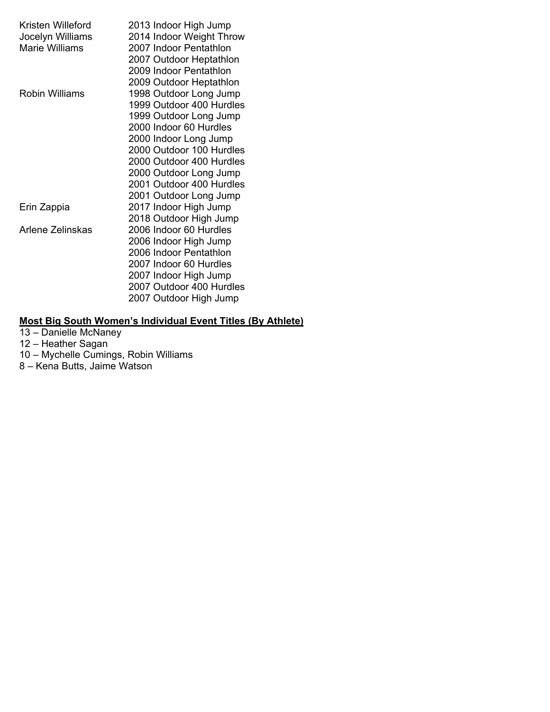| Kristen Willeford<br>Jocelyn Williams<br>Marie Williams | 2013 Indoor High Jump<br>2014 Indoor Weight Throw<br>2007 Indoor Pentathlon<br>2007 Outdoor Heptathlon<br>2009 Indoor Pentathlon<br>2009 Outdoor Heptathlon                                                                                                             |
|---------------------------------------------------------|-------------------------------------------------------------------------------------------------------------------------------------------------------------------------------------------------------------------------------------------------------------------------|
| Robin Williams                                          | 1998 Outdoor Long Jump<br>1999 Outdoor 400 Hurdles<br>1999 Outdoor Long Jump<br>2000 Indoor 60 Hurdles<br>2000 Indoor Long Jump<br>2000 Outdoor 100 Hurdles<br>2000 Outdoor 400 Hurdles<br>2000 Outdoor Long Jump<br>2001 Outdoor 400 Hurdles<br>2001 Outdoor Long Jump |
| Erin Zappia                                             | 2017 Indoor High Jump<br>2018 Outdoor High Jump                                                                                                                                                                                                                         |
| Arlene Zelinskas                                        | 2006 Indoor 60 Hurdles<br>2006 Indoor High Jump<br>2006 Indoor Pentathlon<br>2007 Indoor 60 Hurdles<br>2007 Indoor High Jump<br>2007 Outdoor 400 Hurdles<br>2007 Outdoor High Jump                                                                                      |

#### **Most Big South Women's Individual Event Titles (By Athlete)**

- 13 Danielle McNaney
- 12 Heather Sagan
- 10 Mychelle Cumings, Robin Williams
- 8 Kena Butts, Jaime Watson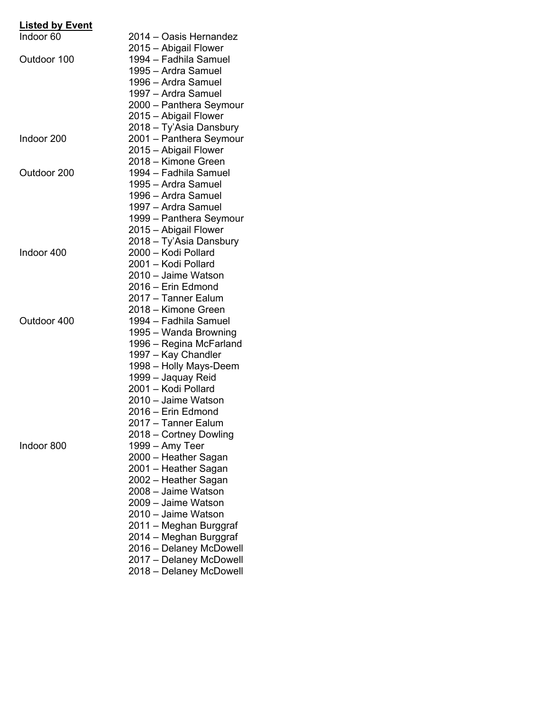| <b>Listed by Event</b> |                                                |
|------------------------|------------------------------------------------|
| Indoor <sub>60</sub>   | 2014 - Oasis Hernandez                         |
|                        | 2015 – Abigail Flower                          |
| Outdoor 100            | 1994 - Fadhila Samuel                          |
|                        | 1995 - Ardra Samuel                            |
|                        | 1996 - Ardra Samuel                            |
|                        | 1997 - Ardra Samuel                            |
|                        | 2000 - Panthera Seymour                        |
|                        | 2015 – Abigail Flower                          |
|                        | 2018 - Ty'Asia Dansbury                        |
| Indoor 200             | 2001 - Panthera Seymour                        |
|                        | 2015 - Abigail Flower                          |
|                        | 2018 - Kimone Green                            |
| Outdoor 200            | 1994 - Fadhila Samuel                          |
|                        | 1995 - Ardra Samuel                            |
|                        | 1996 - Ardra Samuel                            |
|                        | 1997 - Ardra Samuel                            |
|                        | 1999 – Panthera Seymour                        |
|                        | 2015 - Abigail Flower                          |
|                        |                                                |
| Indoor 400             | 2018 - Ty'Asia Dansbury<br>2000 - Kodi Pollard |
|                        | 2001 - Kodi Pollard                            |
|                        |                                                |
|                        | 2010 - Jaime Watson                            |
|                        | 2016 - Erin Edmond                             |
|                        | 2017 - Tanner Ealum                            |
|                        | 2018 - Kimone Green                            |
| Outdoor 400            | 1994 - Fadhila Samuel                          |
|                        | 1995 - Wanda Browning                          |
|                        | 1996 – Regina McFarland                        |
|                        | 1997 – Kay Chandler                            |
|                        | 1998 - Holly Mays-Deem                         |
|                        | 1999 – Jaquay Reid                             |
|                        | 2001 - Kodi Pollard                            |
|                        | 2010 - Jaime Watson                            |
|                        | 2016 - Erin Edmond                             |
|                        | 2017 – Tanner Ealum                            |
|                        | 2018 – Cortney Dowling                         |
| Indoor 800             | 1999 – Amy Teer                                |
|                        | 2000 - Heather Sagan                           |
|                        | 2001 - Heather Sagan                           |
|                        | 2002 – Heather Sagan                           |
|                        | 2008 - Jaime Watson                            |
|                        | 2009 - Jaime Watson                            |
|                        | 2010 - Jaime Watson                            |
|                        | 2011 - Meghan Burggraf                         |
|                        | 2014 - Meghan Burggraf                         |
|                        | 2016 - Delaney McDowell                        |
|                        | 2017 - Delaney McDowell                        |
|                        | 2018 - Delaney McDowell                        |
|                        |                                                |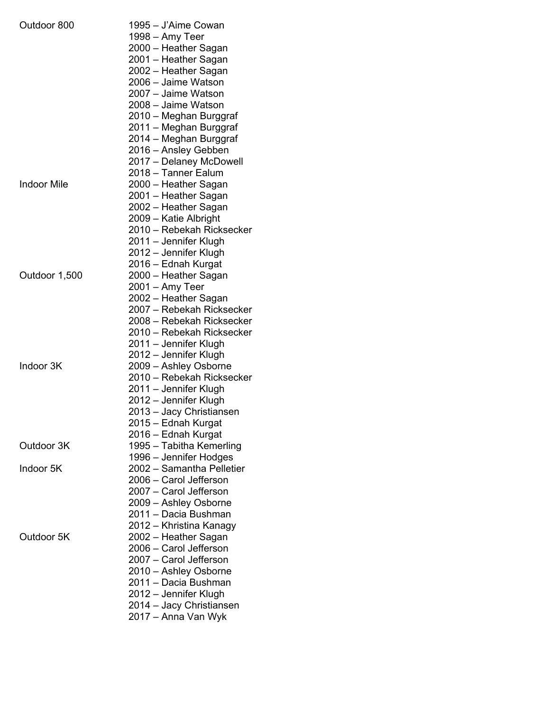| Outdoor 800        | 1995 – J'Aime Cowan       |
|--------------------|---------------------------|
|                    | 1998 – Amy Teer           |
|                    | 2000 – Heather Sagan      |
|                    | 2001 – Heather Sagan      |
|                    | 2002 - Heather Sagan      |
|                    | 2006 - Jaime Watson       |
|                    | 2007 - Jaime Watson       |
|                    | 2008 - Jaime Watson       |
|                    | 2010 - Meghan Burggraf    |
|                    | 2011 - Meghan Burggraf    |
|                    | 2014 - Meghan Burggraf    |
|                    | 2016 - Ansley Gebben      |
|                    |                           |
|                    | 2017 - Delaney McDowell   |
|                    | 2018 - Tanner Ealum       |
| <b>Indoor Mile</b> | 2000 - Heather Sagan      |
|                    | 2001 - Heather Sagan      |
|                    | 2002 - Heather Sagan      |
|                    | 2009 - Katie Albright     |
|                    | 2010 - Rebekah Ricksecker |
|                    | 2011 – Jennifer Klugh     |
|                    | 2012 – Jennifer Klugh     |
|                    | 2016 – Ednah Kurgat       |
| Outdoor 1,500      | 2000 – Heather Sagan      |
|                    | 2001 – Amy Teer           |
|                    | 2002 – Heather Sagan      |
|                    | 2007 – Rebekah Ricksecker |
|                    | 2008 - Rebekah Ricksecker |
|                    | 2010 - Rebekah Ricksecker |
|                    | 2011 – Jennifer Klugh     |
|                    | 2012 – Jennifer Klugh     |
| Indoor 3K          | 2009 - Ashley Osborne     |
|                    | 2010 - Rebekah Ricksecker |
|                    |                           |
|                    | 2011 – Jennifer Klugh     |
|                    | 2012 – Jennifer Klugh     |
|                    | 2013 - Jacy Christiansen  |
|                    | 2015 – Ednah Kurgat       |
|                    | 2016 - Ednah Kurgat       |
| Outdoor 3K         | 1995 - Tabitha Kemerling  |
|                    | 1996 - Jennifer Hodges    |
| Indoor 5K          | 2002 - Samantha Pelletier |
|                    | 2006 - Carol Jefferson    |
|                    | 2007 - Carol Jefferson    |
|                    | 2009 - Ashley Osborne     |
|                    | 2011 - Dacia Bushman      |
|                    | 2012 – Khristina Kanagy   |
| Outdoor 5K         | 2002 - Heather Sagan      |
|                    | 2006 - Carol Jefferson    |
|                    | 2007 – Carol Jefferson    |
|                    | 2010 - Ashley Osborne     |
|                    | 2011 - Dacia Bushman      |
|                    | 2012 – Jennifer Klugh     |
|                    | 2014 – Jacy Christiansen  |
|                    | 2017 – Anna Van Wyk       |
|                    |                           |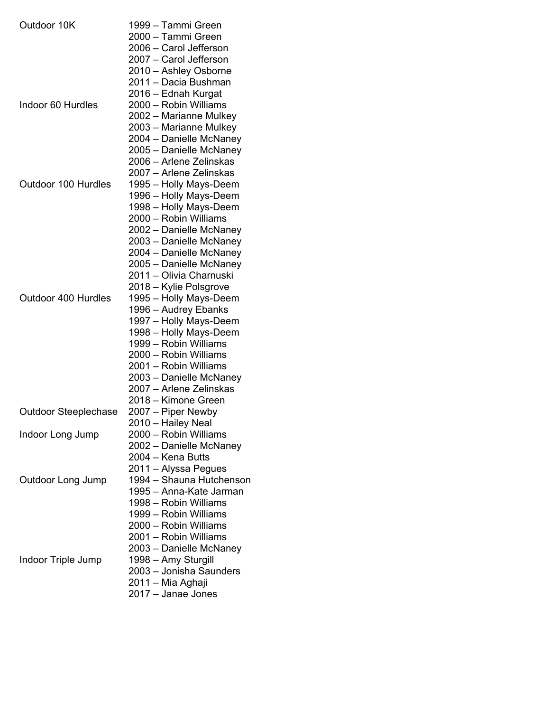| Outdoor 10K                 | 1999 – Tammi Green       |
|-----------------------------|--------------------------|
|                             | 2000 - Tammi Green       |
|                             | 2006 - Carol Jefferson   |
|                             | 2007 - Carol Jefferson   |
|                             | 2010 - Ashley Osborne    |
|                             | 2011 - Dacia Bushman     |
|                             | 2016 - Ednah Kurgat      |
| Indoor 60 Hurdles           | 2000 - Robin Williams    |
|                             | 2002 - Marianne Mulkey   |
|                             | 2003 – Marianne Mulkey   |
|                             | 2004 - Danielle McNaney  |
|                             | 2005 - Danielle McNaney  |
|                             | 2006 – Arlene Zelinskas  |
|                             | 2007 – Arlene Zelinskas  |
|                             |                          |
| Outdoor 100 Hurdles         | 1995 - Holly Mays-Deem   |
|                             | 1996 - Holly Mays-Deem   |
|                             | 1998 - Holly Mays-Deem   |
|                             | 2000 - Robin Williams    |
|                             | 2002 - Danielle McNaney  |
|                             | 2003 – Danielle McNaney  |
|                             | 2004 - Danielle McNaney  |
|                             | 2005 – Danielle McNaney  |
|                             | 2011 – Olivia Charnuski  |
|                             | 2018 – Kylie Polsgrove   |
| Outdoor 400 Hurdles         | 1995 - Holly Mays-Deem   |
|                             | 1996 - Audrey Ebanks     |
|                             | 1997 - Holly Mays-Deem   |
|                             | 1998 - Holly Mays-Deem   |
|                             | 1999 - Robin Williams    |
|                             | 2000 - Robin Williams    |
|                             | 2001 - Robin Williams    |
|                             | 2003 - Danielle McNaney  |
|                             | 2007 – Arlene Zelinskas  |
|                             | 2018 - Kimone Green      |
| <b>Outdoor Steeplechase</b> | 2007 – Piper Newby       |
|                             | 2010 – Hailey Neal       |
| Indoor Long Jump            | 2000 - Robin Williams    |
|                             | 2002 - Danielle McNaney  |
|                             | 2004 – Kena Butts        |
|                             |                          |
|                             | 2011 – Alyssa Pegues     |
| Outdoor Long Jump           | 1994 - Shauna Hutchenson |
|                             | 1995 – Anna-Kate Jarman  |
|                             | 1998 - Robin Williams    |
|                             | 1999 - Robin Williams    |
|                             | 2000 - Robin Williams    |
|                             | 2001 - Robin Williams    |
|                             | 2003 - Danielle McNaney  |
| Indoor Triple Jump          | 1998 - Amy Sturgill      |
|                             | 2003 - Jonisha Saunders  |
|                             | 2011 – Mia Aghaji        |
|                             | 2017 - Janae Jones       |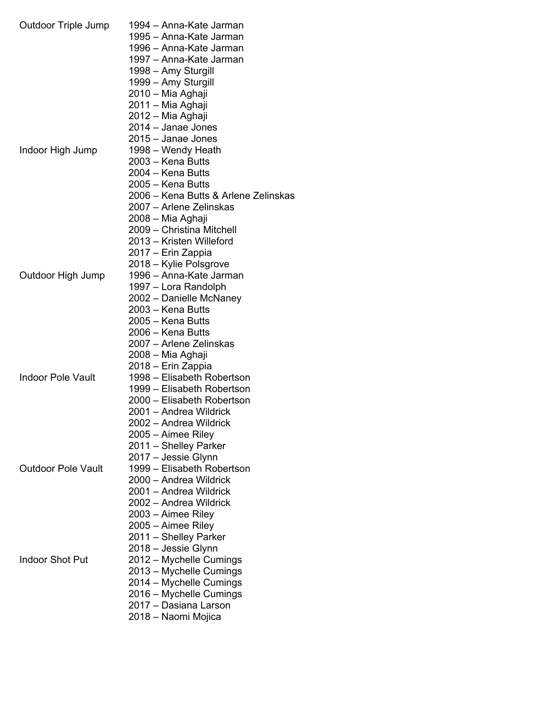| <b>Outdoor Triple Jump</b> | 1994 - Anna-Kate Jarman                           |
|----------------------------|---------------------------------------------------|
|                            | 1995 – Anna-Kate Jarman                           |
|                            | 1996 – Anna-Kate Jarman                           |
|                            | 1997 - Anna-Kate Jarman                           |
|                            | 1998 – Amy Sturgill                               |
|                            | 1999 – Amy Sturgill                               |
|                            | 2010 – Mia Aghaji                                 |
|                            | 2011 – Mia Aghaji                                 |
|                            | 2012 – Mia Aghaji                                 |
|                            | 2014 - Janae Jones                                |
|                            | 2015 - Janae Jones                                |
| Indoor High Jump           | 1998 - Wendy Heath                                |
|                            | 2003 – Kena Butts                                 |
|                            | 2004 – Kena Butts                                 |
|                            |                                                   |
|                            | 2005 – Kena Butts                                 |
|                            | 2006 – Kena Butts & Arlene Zelinskas              |
|                            | 2007 – Arlene Zelinskas                           |
|                            | 2008 - Mia Aghaji                                 |
|                            | 2009 - Christina Mitchell                         |
|                            | 2013 - Kristen Willeford                          |
|                            | 2017 – Erin Zappia                                |
|                            | 2018 – Kylie Polsgrove                            |
| Outdoor High Jump          | 1996 – Anna-Kate Jarman                           |
|                            | 1997 – Lora Randolph                              |
|                            | 2002 – Danielle McNaney                           |
|                            | 2003 – Kena Butts                                 |
|                            | 2005 - Kena Butts                                 |
|                            | 2006 - Kena Butts                                 |
|                            | 2007 - Arlene Zelinskas                           |
|                            | 2008 – Mia Aghaji                                 |
|                            | 2018 – Erin Zappia                                |
| <b>Indoor Pole Vault</b>   | 1998 - Elisabeth Robertson                        |
|                            | 1999 - Elisabeth Robertson                        |
|                            | 2000 - Elisabeth Robertson                        |
|                            | 2001 - Andrea Wildrick                            |
|                            | 2002 – Andrea Wildrick                            |
|                            | 2005 - Aimee Riley                                |
|                            | 2011 - Shelley Parker                             |
|                            |                                                   |
| <b>Outdoor Pole Vault</b>  | 2017 - Jessie Glynn<br>1999 - Elisabeth Robertson |
|                            |                                                   |
|                            | 2000 - Andrea Wildrick                            |
|                            | 2001 – Andrea Wildrick                            |
|                            | 2002 – Andrea Wildrick                            |
|                            | 2003 – Aimee Riley                                |
|                            | 2005 – Aimee Riley                                |
|                            | 2011 – Shelley Parker                             |
|                            | 2018 - Jessie Glynn                               |
| <b>Indoor Shot Put</b>     | 2012 - Mychelle Cumings                           |
|                            | 2013 – Mychelle Cumings                           |
|                            | 2014 – Mychelle Cumings                           |
|                            | 2016 - Mychelle Cumings                           |
|                            | 2017 - Dasiana Larson                             |
|                            | 2018 - Naomi Mojica                               |
|                            |                                                   |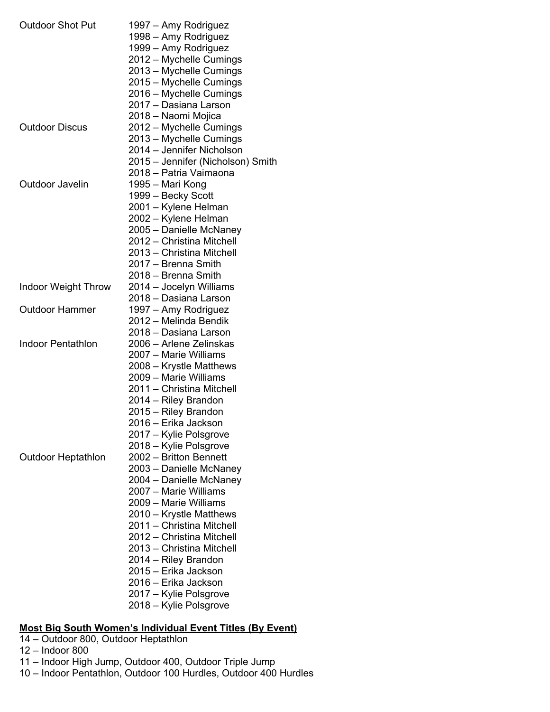| <b>Outdoor Shot Put</b>    | 1997 – Amy Rodriguez                             |
|----------------------------|--------------------------------------------------|
|                            | 1998 - Amy Rodriguez                             |
|                            | 1999 – Amy Rodriguez                             |
|                            | 2012 – Mychelle Cumings                          |
|                            | 2013 – Mychelle Cumings                          |
|                            | 2015 - Mychelle Cumings                          |
|                            | 2016 - Mychelle Cumings                          |
|                            | 2017 - Dasiana Larson                            |
|                            | 2018 - Naomi Mojica                              |
| <b>Outdoor Discus</b>      | 2012 - Mychelle Cumings                          |
|                            | 2013 – Mychelle Cumings                          |
|                            | 2014 – Jennifer Nicholson                        |
|                            | 2015 - Jennifer (Nicholson) Smith                |
|                            | 2018 – Patria Vaimaona                           |
| Outdoor Javelin            | 1995 – Mari Kong                                 |
|                            | 1999 – Becky Scott                               |
|                            | 2001 - Kylene Helman                             |
|                            | 2002 - Kylene Helman                             |
|                            | 2005 - Danielle McNaney                          |
|                            | 2012 - Christina Mitchell                        |
|                            | 2013 - Christina Mitchell                        |
|                            | 2017 – Brenna Smith                              |
|                            |                                                  |
|                            | 2018 – Brenna Smith                              |
| <b>Indoor Weight Throw</b> | 2014 - Jocelyn Williams<br>2018 - Dasiana Larson |
| <b>Outdoor Hammer</b>      |                                                  |
|                            | 1997 - Amy Rodriguez<br>2012 – Melinda Bendik    |
|                            | 2018 - Dasiana Larson                            |
| Indoor Pentathlon          | 2006 – Arlene Zelinskas                          |
|                            |                                                  |
|                            | 2007 – Marie Williams                            |
|                            | 2008 – Krystle Matthews                          |
|                            | 2009 - Marie Williams                            |
|                            | 2011 - Christina Mitchell                        |
|                            | 2014 – Riley Brandon                             |
|                            | 2015 - Riley Brandon                             |
|                            | 2016 - Erika Jackson                             |
|                            | 2017 – Kylie Polsgrove                           |
|                            | 2018 – Kylie Polsgrove                           |
| <b>Outdoor Heptathlon</b>  | 2002 - Britton Bennett                           |
|                            | 2003 - Danielle McNaney                          |
|                            | 2004 - Danielle McNaney                          |
|                            | 2007 - Marie Williams                            |
|                            | 2009 - Marie Williams                            |
|                            | 2010 - Krystle Matthews                          |
|                            | 2011 - Christina Mitchell                        |
|                            | 2012 - Christina Mitchell                        |
|                            | 2013 - Christina Mitchell                        |
|                            | 2014 – Riley Brandon                             |
|                            | 2015 - Erika Jackson                             |
|                            | 2016 – Erika Jackson                             |
|                            | 2017 – Kylie Polsgrove                           |
|                            | 2018 – Kylie Polsgrove                           |
|                            |                                                  |

## **Most Big South Women's Individual Event Titles (By Event)**

- 14 Outdoor 800, Outdoor Heptathlon
- 12 Indoor 800

10 – Indoor Pentathlon, Outdoor 100 Hurdles, Outdoor 400 Hurdles

<sup>11 –</sup> Indoor High Jump, Outdoor 400, Outdoor Triple Jump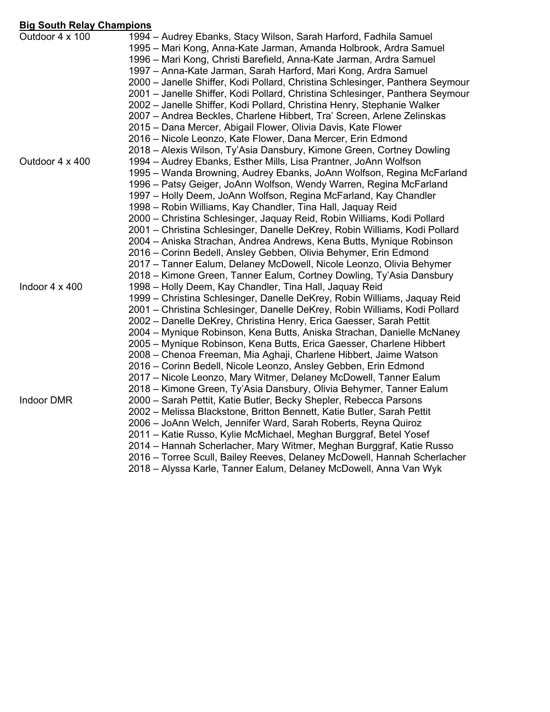### **Big South Relay Champions**

| <u>Ung ovuun nulu y onumpiono</u> |                                                                                                                                                                                                                                                                                                                                                                                                                                                                                                                                                                                                                                                                                                                                         |
|-----------------------------------|-----------------------------------------------------------------------------------------------------------------------------------------------------------------------------------------------------------------------------------------------------------------------------------------------------------------------------------------------------------------------------------------------------------------------------------------------------------------------------------------------------------------------------------------------------------------------------------------------------------------------------------------------------------------------------------------------------------------------------------------|
| Outdoor 4 x 100                   | 1994 – Audrey Ebanks, Stacy Wilson, Sarah Harford, Fadhila Samuel<br>1995 – Mari Kong, Anna-Kate Jarman, Amanda Holbrook, Ardra Samuel<br>1996 – Mari Kong, Christi Barefield, Anna-Kate Jarman, Ardra Samuel<br>1997 – Anna-Kate Jarman, Sarah Harford, Mari Kong, Ardra Samuel<br>2000 - Janelle Shiffer, Kodi Pollard, Christina Schlesinger, Panthera Seymour<br>2001 - Janelle Shiffer, Kodi Pollard, Christina Schlesinger, Panthera Seymour<br>2002 - Janelle Shiffer, Kodi Pollard, Christina Henry, Stephanie Walker<br>2007 – Andrea Beckles, Charlene Hibbert, Tra' Screen, Arlene Zelinskas<br>2015 – Dana Mercer, Abigail Flower, Olivia Davis, Kate Flower<br>2016 – Nicole Leonzo, Kate Flower, Dana Mercer, Erin Edmond |
|                                   | 2018 – Alexis Wilson, Ty'Asia Dansbury, Kimone Green, Cortney Dowling                                                                                                                                                                                                                                                                                                                                                                                                                                                                                                                                                                                                                                                                   |
| Outdoor 4 x 400                   | 1994 – Audrey Ebanks, Esther Mills, Lisa Prantner, JoAnn Wolfson                                                                                                                                                                                                                                                                                                                                                                                                                                                                                                                                                                                                                                                                        |
|                                   | 1995 - Wanda Browning, Audrey Ebanks, JoAnn Wolfson, Regina McFarland                                                                                                                                                                                                                                                                                                                                                                                                                                                                                                                                                                                                                                                                   |
|                                   | 1996 – Patsy Geiger, JoAnn Wolfson, Wendy Warren, Regina McFarland                                                                                                                                                                                                                                                                                                                                                                                                                                                                                                                                                                                                                                                                      |
|                                   | 1997 – Holly Deem, JoAnn Wolfson, Regina McFarland, Kay Chandler                                                                                                                                                                                                                                                                                                                                                                                                                                                                                                                                                                                                                                                                        |
|                                   | 1998 – Robin Williams, Kay Chandler, Tina Hall, Jaquay Reid                                                                                                                                                                                                                                                                                                                                                                                                                                                                                                                                                                                                                                                                             |
|                                   | 2000 – Christina Schlesinger, Jaquay Reid, Robin Williams, Kodi Pollard                                                                                                                                                                                                                                                                                                                                                                                                                                                                                                                                                                                                                                                                 |
|                                   | 2001 – Christina Schlesinger, Danelle DeKrey, Robin Williams, Kodi Pollard                                                                                                                                                                                                                                                                                                                                                                                                                                                                                                                                                                                                                                                              |
|                                   | 2004 – Aniska Strachan, Andrea Andrews, Kena Butts, Mynique Robinson                                                                                                                                                                                                                                                                                                                                                                                                                                                                                                                                                                                                                                                                    |
|                                   | 2016 – Corinn Bedell, Ansley Gebben, Olivia Behymer, Erin Edmond                                                                                                                                                                                                                                                                                                                                                                                                                                                                                                                                                                                                                                                                        |
|                                   | 2017 – Tanner Ealum, Delaney McDowell, Nicole Leonzo, Olivia Behymer                                                                                                                                                                                                                                                                                                                                                                                                                                                                                                                                                                                                                                                                    |
|                                   | 2018 – Kimone Green, Tanner Ealum, Cortney Dowling, Ty'Asia Dansbury                                                                                                                                                                                                                                                                                                                                                                                                                                                                                                                                                                                                                                                                    |
| Indoor $4 \times 400$             | 1998 - Holly Deem, Kay Chandler, Tina Hall, Jaquay Reid                                                                                                                                                                                                                                                                                                                                                                                                                                                                                                                                                                                                                                                                                 |
|                                   | 1999 – Christina Schlesinger, Danelle DeKrey, Robin Williams, Jaquay Reid                                                                                                                                                                                                                                                                                                                                                                                                                                                                                                                                                                                                                                                               |
|                                   | 2001 – Christina Schlesinger, Danelle DeKrey, Robin Williams, Kodi Pollard                                                                                                                                                                                                                                                                                                                                                                                                                                                                                                                                                                                                                                                              |
|                                   | 2002 – Danelle DeKrey, Christina Henry, Erica Gaesser, Sarah Pettit                                                                                                                                                                                                                                                                                                                                                                                                                                                                                                                                                                                                                                                                     |
|                                   | 2004 – Mynique Robinson, Kena Butts, Aniska Strachan, Danielle McNaney                                                                                                                                                                                                                                                                                                                                                                                                                                                                                                                                                                                                                                                                  |
|                                   | 2005 – Mynique Robinson, Kena Butts, Erica Gaesser, Charlene Hibbert                                                                                                                                                                                                                                                                                                                                                                                                                                                                                                                                                                                                                                                                    |
|                                   | 2008 – Chenoa Freeman, Mia Aghaji, Charlene Hibbert, Jaime Watson                                                                                                                                                                                                                                                                                                                                                                                                                                                                                                                                                                                                                                                                       |
|                                   | 2016 – Corinn Bedell, Nicole Leonzo, Ansley Gebben, Erin Edmond                                                                                                                                                                                                                                                                                                                                                                                                                                                                                                                                                                                                                                                                         |
|                                   | 2017 – Nicole Leonzo, Mary Witmer, Delaney McDowell, Tanner Ealum                                                                                                                                                                                                                                                                                                                                                                                                                                                                                                                                                                                                                                                                       |
| <b>Indoor DMR</b>                 | 2018 – Kimone Green, Ty'Asia Dansbury, Olivia Behymer, Tanner Ealum<br>2000 - Sarah Pettit, Katie Butler, Becky Shepler, Rebecca Parsons                                                                                                                                                                                                                                                                                                                                                                                                                                                                                                                                                                                                |
|                                   | 2002 - Melissa Blackstone, Britton Bennett, Katie Butler, Sarah Pettit                                                                                                                                                                                                                                                                                                                                                                                                                                                                                                                                                                                                                                                                  |
|                                   | 2006 - JoAnn Welch, Jennifer Ward, Sarah Roberts, Reyna Quiroz                                                                                                                                                                                                                                                                                                                                                                                                                                                                                                                                                                                                                                                                          |
|                                   | 2011 – Katie Russo, Kylie McMichael, Meghan Burggraf, Betel Yosef                                                                                                                                                                                                                                                                                                                                                                                                                                                                                                                                                                                                                                                                       |
|                                   | 2014 – Hannah Scherlacher, Mary Witmer, Meghan Burggraf, Katie Russo                                                                                                                                                                                                                                                                                                                                                                                                                                                                                                                                                                                                                                                                    |
|                                   | 2016 – Torree Scull, Bailey Reeves, Delaney McDowell, Hannah Scherlacher                                                                                                                                                                                                                                                                                                                                                                                                                                                                                                                                                                                                                                                                |
|                                   | 2018 – Alyssa Karle, Tanner Ealum, Delaney McDowell, Anna Van Wyk                                                                                                                                                                                                                                                                                                                                                                                                                                                                                                                                                                                                                                                                       |
|                                   |                                                                                                                                                                                                                                                                                                                                                                                                                                                                                                                                                                                                                                                                                                                                         |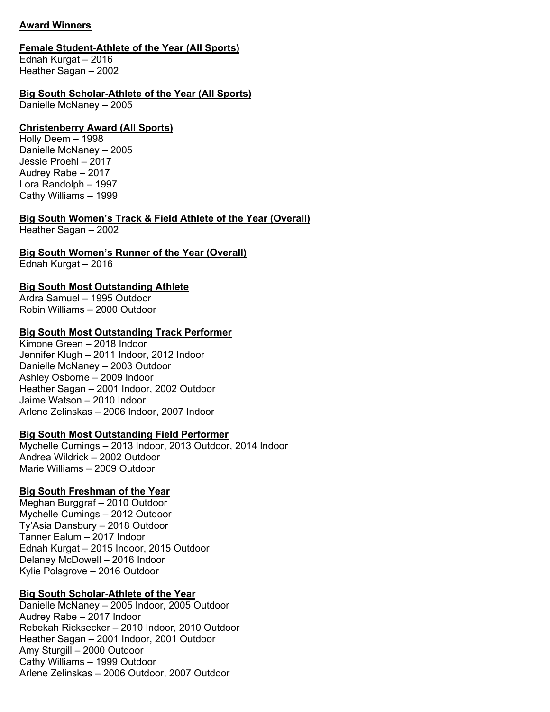## **Award Winners**

## **Female Student-Athlete of the Year (All Sports)**

Ednah Kurgat – 2016 Heather Sagan – 2002

## **Big South Scholar-Athlete of the Year (All Sports)**

Danielle McNaney – 2005

## **Christenberry Award (All Sports)**

Holly Deem – 1998 Danielle McNaney – 2005 Jessie Proehl – 2017 Audrey Rabe – 2017 Lora Randolph – 1997 Cathy Williams – 1999

## **Big South Women's Track & Field Athlete of the Year (Overall)**

Heather Sagan – 2002

# **Big South Women's Runner of the Year (Overall)**

Ednah Kurgat – 2016

# **Big South Most Outstanding Athlete**

Ardra Samuel – 1995 Outdoor Robin Williams – 2000 Outdoor

## **Big South Most Outstanding Track Performer**

Kimone Green – 2018 Indoor Jennifer Klugh – 2011 Indoor, 2012 Indoor Danielle McNaney – 2003 Outdoor Ashley Osborne – 2009 Indoor Heather Sagan – 2001 Indoor, 2002 Outdoor Jaime Watson – 2010 Indoor Arlene Zelinskas – 2006 Indoor, 2007 Indoor

## **Big South Most Outstanding Field Performer**

Mychelle Cumings – 2013 Indoor, 2013 Outdoor, 2014 Indoor Andrea Wildrick – 2002 Outdoor Marie Williams – 2009 Outdoor

## **Big South Freshman of the Year**

Meghan Burggraf – 2010 Outdoor Mychelle Cumings – 2012 Outdoor Ty'Asia Dansbury – 2018 Outdoor Tanner Ealum – 2017 Indoor Ednah Kurgat – 2015 Indoor, 2015 Outdoor Delaney McDowell – 2016 Indoor Kylie Polsgrove – 2016 Outdoor

# **Big South Scholar-Athlete of the Year**

Danielle McNaney – 2005 Indoor, 2005 Outdoor Audrey Rabe – 2017 Indoor Rebekah Ricksecker – 2010 Indoor, 2010 Outdoor Heather Sagan – 2001 Indoor, 2001 Outdoor Amy Sturgill – 2000 Outdoor Cathy Williams – 1999 Outdoor Arlene Zelinskas – 2006 Outdoor, 2007 Outdoor